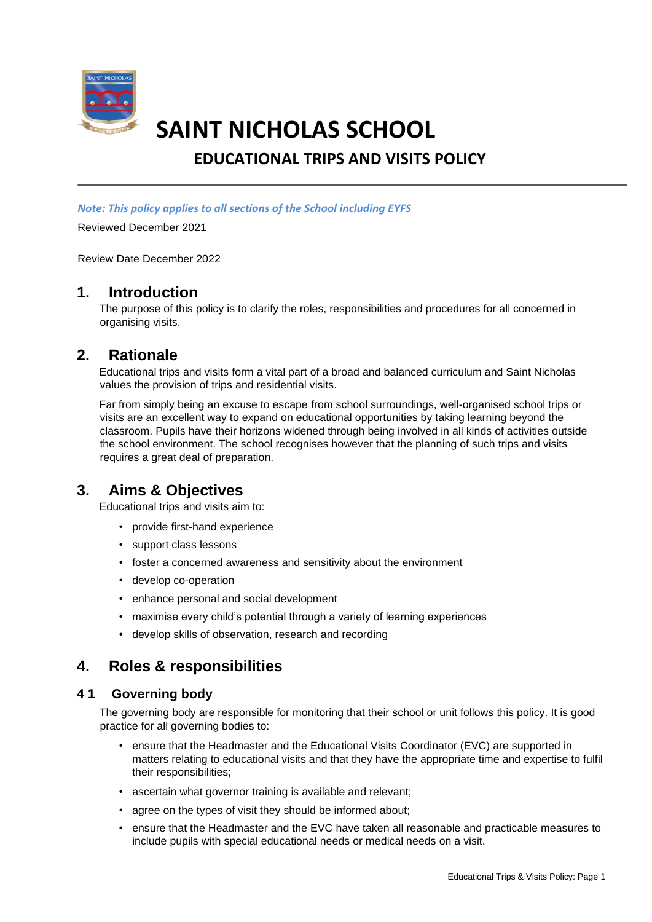

# **SAINT NICHOLAS SCHOOL**

# **EDUCATIONAL TRIPS AND VISITS POLICY**

*Note: This policy applies to all sections of the School including EYFS*

Reviewed December 2021

Review Date December 2022

## **1. Introduction**

The purpose of this policy is to clarify the roles, responsibilities and procedures for all concerned in organising visits.

## **2. Rationale**

Educational trips and visits form a vital part of a broad and balanced curriculum and Saint Nicholas values the provision of trips and residential visits.

Far from simply being an excuse to escape from school surroundings, well-organised school trips or visits are an excellent way to expand on educational opportunities by taking learning beyond the classroom. Pupils have their horizons widened through being involved in all kinds of activities outside the school environment. The school recognises however that the planning of such trips and visits requires a great deal of preparation.

## **3. Aims & Objectives**

Educational trips and visits aim to:

- provide first-hand experience
- support class lessons
- foster a concerned awareness and sensitivity about the environment
- develop co-operation
- enhance personal and social development
- maximise every child's potential through a variety of learning experiences
- develop skills of observation, research and recording

## **4. Roles & responsibilities**

#### **4 1 Governing body**

The governing body are responsible for monitoring that their school or unit follows this policy. It is good practice for all governing bodies to:

- ensure that the Headmaster and the Educational Visits Coordinator (EVC) are supported in matters relating to educational visits and that they have the appropriate time and expertise to fulfil their responsibilities;
- ascertain what governor training is available and relevant;
- agree on the types of visit they should be informed about;
- ensure that the Headmaster and the EVC have taken all reasonable and practicable measures to include pupils with special educational needs or medical needs on a visit.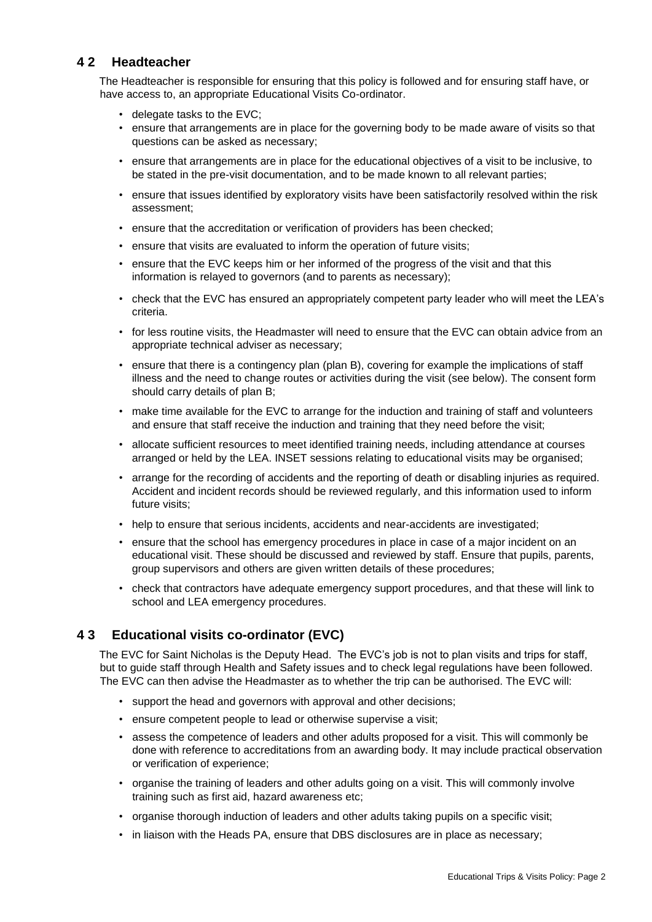## **4 2 Headteacher**

The Headteacher is responsible for ensuring that this policy is followed and for ensuring staff have, or have access to, an appropriate Educational Visits Co-ordinator.

- delegate tasks to the EVC;
- ensure that arrangements are in place for the governing body to be made aware of visits so that questions can be asked as necessary;
- ensure that arrangements are in place for the educational objectives of a visit to be inclusive, to be stated in the pre-visit documentation, and to be made known to all relevant parties;
- ensure that issues identified by exploratory visits have been satisfactorily resolved within the risk assessment;
- ensure that the accreditation or verification of providers has been checked;
- ensure that visits are evaluated to inform the operation of future visits;
- ensure that the EVC keeps him or her informed of the progress of the visit and that this information is relayed to governors (and to parents as necessary);
- check that the EVC has ensured an appropriately competent party leader who will meet the LEA's criteria.
- for less routine visits, the Headmaster will need to ensure that the EVC can obtain advice from an appropriate technical adviser as necessary;
- ensure that there is a contingency plan (plan B), covering for example the implications of staff illness and the need to change routes or activities during the visit (see below). The consent form should carry details of plan B;
- make time available for the EVC to arrange for the induction and training of staff and volunteers and ensure that staff receive the induction and training that they need before the visit;
- allocate sufficient resources to meet identified training needs, including attendance at courses arranged or held by the LEA. INSET sessions relating to educational visits may be organised;
- arrange for the recording of accidents and the reporting of death or disabling injuries as required. Accident and incident records should be reviewed regularly, and this information used to inform future visits;
- help to ensure that serious incidents, accidents and near-accidents are investigated;
- ensure that the school has emergency procedures in place in case of a major incident on an educational visit. These should be discussed and reviewed by staff. Ensure that pupils, parents, group supervisors and others are given written details of these procedures;
- check that contractors have adequate emergency support procedures, and that these will link to school and LEA emergency procedures.

## **4 3 Educational visits co-ordinator (EVC)**

The EVC for Saint Nicholas is the Deputy Head. The EVC's job is not to plan visits and trips for staff, but to guide staff through Health and Safety issues and to check legal regulations have been followed. The EVC can then advise the Headmaster as to whether the trip can be authorised. The EVC will:

- support the head and governors with approval and other decisions;
- ensure competent people to lead or otherwise supervise a visit;
- assess the competence of leaders and other adults proposed for a visit. This will commonly be done with reference to accreditations from an awarding body. It may include practical observation or verification of experience;
- organise the training of leaders and other adults going on a visit. This will commonly involve training such as first aid, hazard awareness etc;
- organise thorough induction of leaders and other adults taking pupils on a specific visit;
- in liaison with the Heads PA, ensure that DBS disclosures are in place as necessary;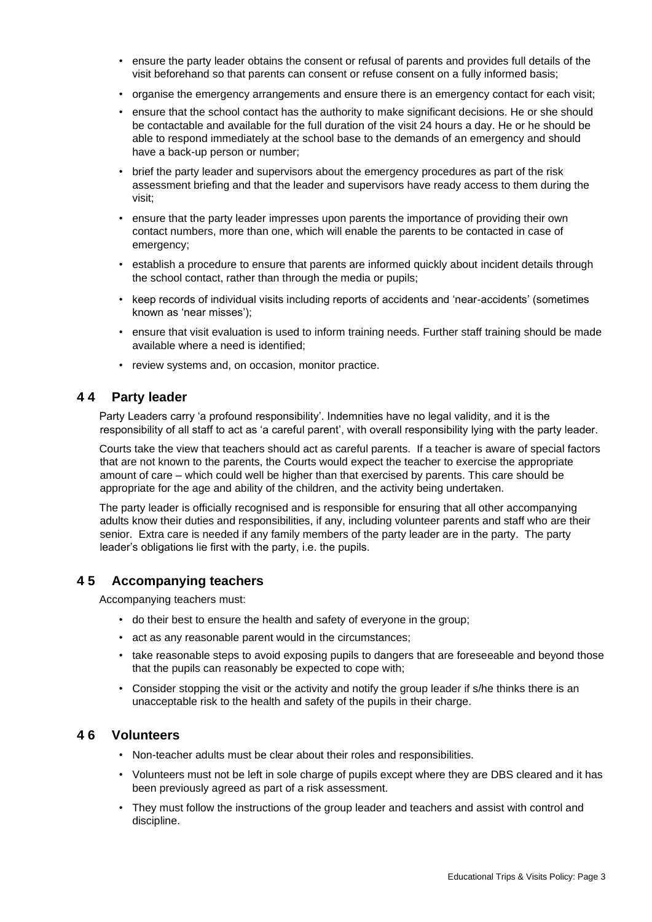- ensure the party leader obtains the consent or refusal of parents and provides full details of the visit beforehand so that parents can consent or refuse consent on a fully informed basis;
- organise the emergency arrangements and ensure there is an emergency contact for each visit;
- ensure that the school contact has the authority to make significant decisions. He or she should be contactable and available for the full duration of the visit 24 hours a day. He or he should be able to respond immediately at the school base to the demands of an emergency and should have a back-up person or number;
- brief the party leader and supervisors about the emergency procedures as part of the risk assessment briefing and that the leader and supervisors have ready access to them during the visit;
- ensure that the party leader impresses upon parents the importance of providing their own contact numbers, more than one, which will enable the parents to be contacted in case of emergency;
- establish a procedure to ensure that parents are informed quickly about incident details through the school contact, rather than through the media or pupils;
- keep records of individual visits including reports of accidents and 'near-accidents' (sometimes known as 'near misses');
- ensure that visit evaluation is used to inform training needs. Further staff training should be made available where a need is identified;
- review systems and, on occasion, monitor practice.

#### **4 4 Party leader**

Party Leaders carry 'a profound responsibility'. Indemnities have no legal validity, and it is the responsibility of all staff to act as 'a careful parent', with overall responsibility lying with the party leader.

Courts take the view that teachers should act as careful parents. If a teacher is aware of special factors that are not known to the parents, the Courts would expect the teacher to exercise the appropriate amount of care – which could well be higher than that exercised by parents. This care should be appropriate for the age and ability of the children, and the activity being undertaken.

The party leader is officially recognised and is responsible for ensuring that all other accompanying adults know their duties and responsibilities, if any, including volunteer parents and staff who are their senior. Extra care is needed if any family members of the party leader are in the party. The party leader's obligations lie first with the party, i.e. the pupils.

## **4 5 Accompanying teachers**

Accompanying teachers must:

- do their best to ensure the health and safety of everyone in the group;
- act as any reasonable parent would in the circumstances;
- take reasonable steps to avoid exposing pupils to dangers that are foreseeable and beyond those that the pupils can reasonably be expected to cope with;
- Consider stopping the visit or the activity and notify the group leader if s/he thinks there is an unacceptable risk to the health and safety of the pupils in their charge.

#### **4 6 Volunteers**

- Non-teacher adults must be clear about their roles and responsibilities.
- Volunteers must not be left in sole charge of pupils except where they are DBS cleared and it has been previously agreed as part of a risk assessment.
- They must follow the instructions of the group leader and teachers and assist with control and discipline.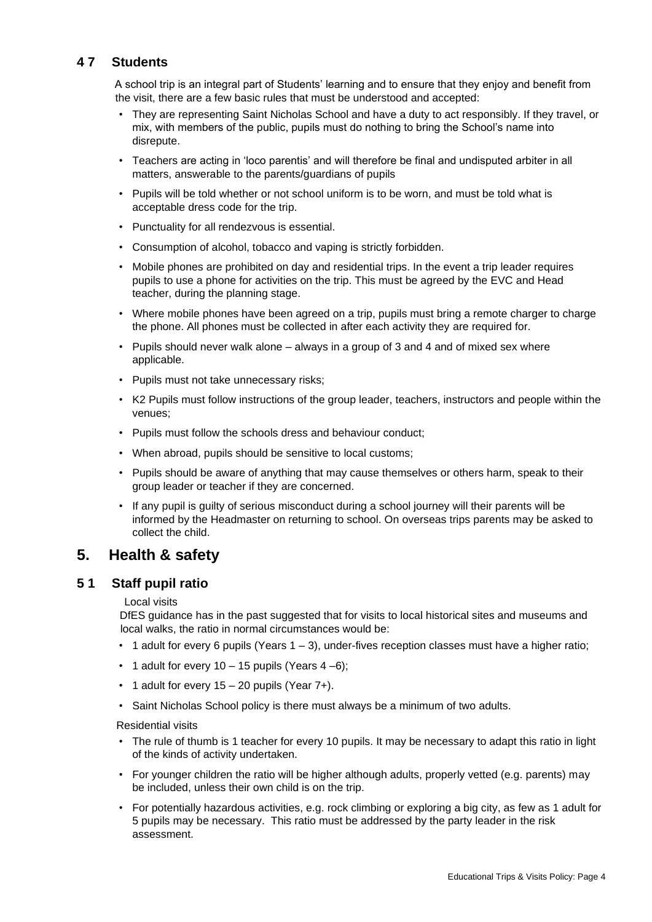## **4 7 Students**

A school trip is an integral part of Students' learning and to ensure that they enjoy and benefit from the visit, there are a few basic rules that must be understood and accepted:

- They are representing Saint Nicholas School and have a duty to act responsibly. If they travel, or mix, with members of the public, pupils must do nothing to bring the School's name into disrepute.
- Teachers are acting in 'loco parentis' and will therefore be final and undisputed arbiter in all matters, answerable to the parents/guardians of pupils
- Pupils will be told whether or not school uniform is to be worn, and must be told what is acceptable dress code for the trip.
- Punctuality for all rendezvous is essential.
- Consumption of alcohol, tobacco and vaping is strictly forbidden.
- Mobile phones are prohibited on day and residential trips. In the event a trip leader requires pupils to use a phone for activities on the trip. This must be agreed by the EVC and Head teacher, during the planning stage.
- Where mobile phones have been agreed on a trip, pupils must bring a remote charger to charge the phone. All phones must be collected in after each activity they are required for.
- Pupils should never walk alone always in a group of 3 and 4 and of mixed sex where applicable.
- Pupils must not take unnecessary risks;
- K2 Pupils must follow instructions of the group leader, teachers, instructors and people within the venues;
- Pupils must follow the schools dress and behaviour conduct;
- When abroad, pupils should be sensitive to local customs;
- Pupils should be aware of anything that may cause themselves or others harm, speak to their group leader or teacher if they are concerned.
- If any pupil is guilty of serious misconduct during a school journey will their parents will be informed by the Headmaster on returning to school. On overseas trips parents may be asked to collect the child.

## **5. Health & safety**

#### **5 1 Staff pupil ratio**

#### Local visits

DfES guidance has in the past suggested that for visits to local historical sites and museums and local walks, the ratio in normal circumstances would be:

- $\cdot$  1 adult for every 6 pupils (Years 1 3), under-fives reception classes must have a higher ratio;
- 1 adult for every  $10 15$  pupils (Years  $4 6$ );
- 1 adult for every 15 20 pupils (Year 7+).
- Saint Nicholas School policy is there must always be a minimum of two adults.

Residential visits

- The rule of thumb is 1 teacher for every 10 pupils. It may be necessary to adapt this ratio in light of the kinds of activity undertaken.
- For younger children the ratio will be higher although adults, properly vetted (e.g. parents) may be included, unless their own child is on the trip.
- For potentially hazardous activities, e.g. rock climbing or exploring a big city, as few as 1 adult for 5 pupils may be necessary. This ratio must be addressed by the party leader in the risk assessment.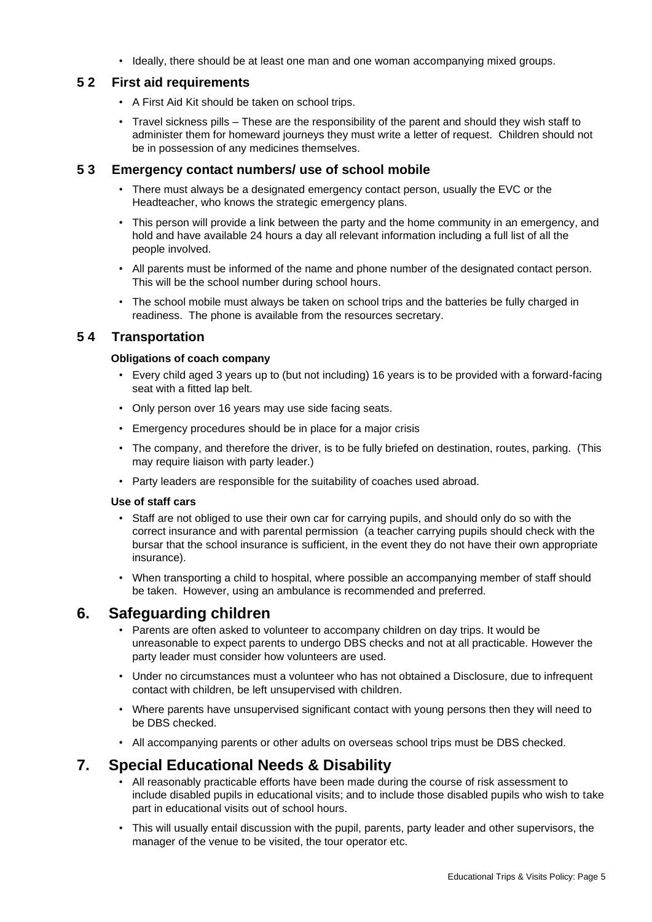• Ideally, there should be at least one man and one woman accompanying mixed groups.

## **5 2 First aid requirements**

- A First Aid Kit should be taken on school trips.
- Travel sickness pills These are the responsibility of the parent and should they wish staff to administer them for homeward journeys they must write a letter of request. Children should not be in possession of any medicines themselves.

#### **5 3 Emergency contact numbers/ use of school mobile**

- There must always be a designated emergency contact person, usually the EVC or the Headteacher, who knows the strategic emergency plans.
- This person will provide a link between the party and the home community in an emergency, and hold and have available 24 hours a day all relevant information including a full list of all the people involved.
- All parents must be informed of the name and phone number of the designated contact person. This will be the school number during school hours.
- The school mobile must always be taken on school trips and the batteries be fully charged in readiness. The phone is available from the resources secretary.

## **5 4 Transportation**

#### **Obligations of coach company**

- Every child aged 3 years up to (but not including) 16 years is to be provided with a forward-facing seat with a fitted lap belt.
- Only person over 16 years may use side facing seats.
- Emergency procedures should be in place for a major crisis
- The company, and therefore the driver, is to be fully briefed on destination, routes, parking. (This may require liaison with party leader.)
- Party leaders are responsible for the suitability of coaches used abroad.

#### **Use of staff cars**

- Staff are not obliged to use their own car for carrying pupils, and should only do so with the correct insurance and with parental permission (a teacher carrying pupils should check with the bursar that the school insurance is sufficient, in the event they do not have their own appropriate insurance).
- When transporting a child to hospital, where possible an accompanying member of staff should be taken. However, using an ambulance is recommended and preferred.

## **6. Safeguarding children**

- Parents are often asked to volunteer to accompany children on day trips. It would be unreasonable to expect parents to undergo DBS checks and not at all practicable. However the party leader must consider how volunteers are used.
- Under no circumstances must a volunteer who has not obtained a Disclosure, due to infrequent contact with children, be left unsupervised with children.
- Where parents have unsupervised significant contact with young persons then they will need to be DBS checked.
- All accompanying parents or other adults on overseas school trips must be DBS checked.

## **7. Special Educational Needs & Disability**

- All reasonably practicable efforts have been made during the course of risk assessment to include disabled pupils in educational visits; and to include those disabled pupils who wish to take part in educational visits out of school hours.
- This will usually entail discussion with the pupil, parents, party leader and other supervisors, the manager of the venue to be visited, the tour operator etc.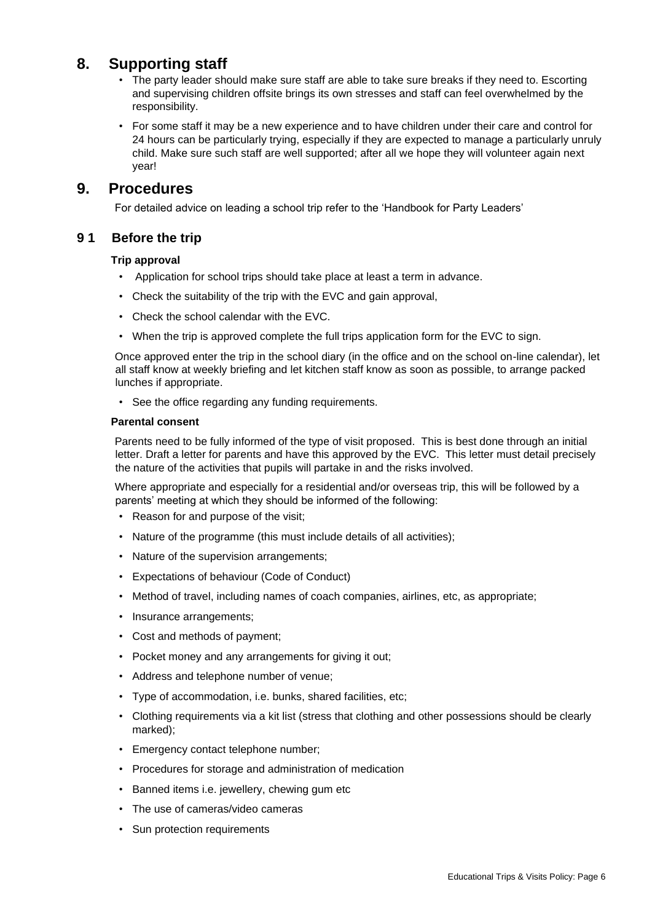## **8. Supporting staff**

- The party leader should make sure staff are able to take sure breaks if they need to. Escorting and supervising children offsite brings its own stresses and staff can feel overwhelmed by the responsibility.
- For some staff it may be a new experience and to have children under their care and control for 24 hours can be particularly trying, especially if they are expected to manage a particularly unruly child. Make sure such staff are well supported; after all we hope they will volunteer again next year!

## **9. Procedures**

For detailed advice on leading a school trip refer to the 'Handbook for Party Leaders'

## **9 1 Before the trip**

#### **Trip approval**

- Application for school trips should take place at least a term in advance.
- Check the suitability of the trip with the EVC and gain approval,
- Check the school calendar with the EVC.
- When the trip is approved complete the full trips application form for the EVC to sign.

Once approved enter the trip in the school diary (in the office and on the school on-line calendar), let all staff know at weekly briefing and let kitchen staff know as soon as possible, to arrange packed lunches if appropriate.

• See the office regarding any funding requirements.

#### **Parental consent**

Parents need to be fully informed of the type of visit proposed. This is best done through an initial letter. Draft a letter for parents and have this approved by the EVC. This letter must detail precisely the nature of the activities that pupils will partake in and the risks involved.

Where appropriate and especially for a residential and/or overseas trip, this will be followed by a parents' meeting at which they should be informed of the following:

- Reason for and purpose of the visit;
- Nature of the programme (this must include details of all activities);
- Nature of the supervision arrangements;
- Expectations of behaviour (Code of Conduct)
- Method of travel, including names of coach companies, airlines, etc, as appropriate;
- Insurance arrangements;
- Cost and methods of payment;
- Pocket money and any arrangements for giving it out;
- Address and telephone number of venue;
- Type of accommodation, i.e. bunks, shared facilities, etc;
- Clothing requirements via a kit list (stress that clothing and other possessions should be clearly marked);
- Emergency contact telephone number;
- Procedures for storage and administration of medication
- Banned items i.e. jewellery, chewing gum etc
- The use of cameras/video cameras
- Sun protection requirements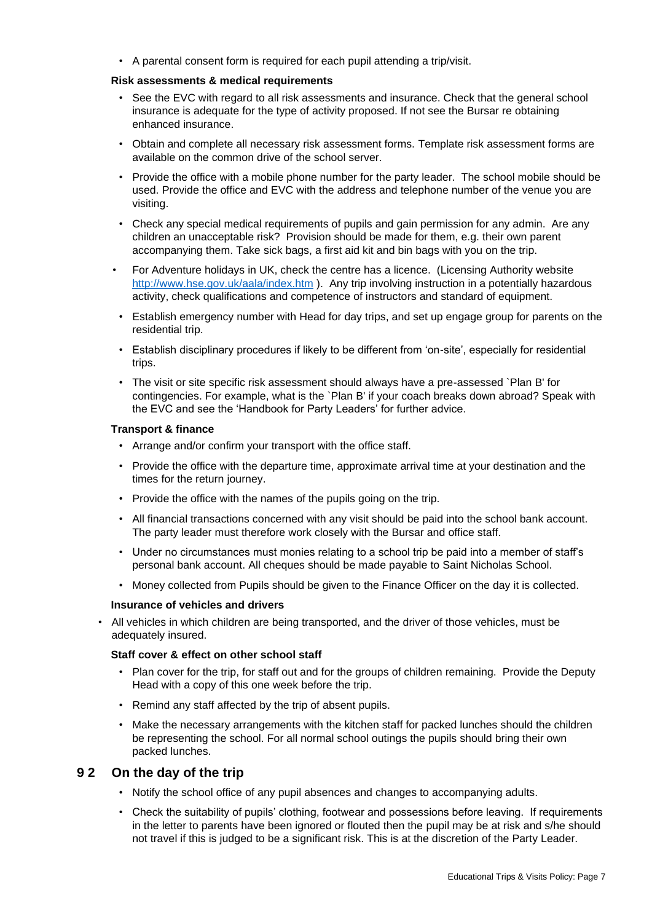• A parental consent form is required for each pupil attending a trip/visit.

#### **Risk assessments & medical requirements**

- See the EVC with regard to all risk assessments and insurance. Check that the general school insurance is adequate for the type of activity proposed. If not see the Bursar re obtaining enhanced insurance.
- Obtain and complete all necessary risk assessment forms. Template risk assessment forms are available on the common drive of the school server.
- Provide the office with a mobile phone number for the party leader. The school mobile should be used. Provide the office and EVC with the address and telephone number of the venue you are visiting.
- Check any special medical requirements of pupils and gain permission for any admin. Are any children an unacceptable risk? Provision should be made for them, e.g. their own parent accompanying them. Take sick bags, a first aid kit and bin bags with you on the trip.
- For Adventure holidays in UK, check the centre has a licence. (Licensing Authority website <http://www.hse.gov.uk/aala/index.htm> [\).](http://www.aala.org/) Any trip involving instruction in a potentially hazardous activity, check qualifications and competence of instructors and standard of equipment.
- Establish emergency number with Head for day trips, and set up engage group for parents on the residential trip.
- Establish disciplinary procedures if likely to be different from 'on-site', especially for residential trips.
- The visit or site specific risk assessment should always have a pre-assessed `Plan B' for contingencies. For example, what is the `Plan B' if your coach breaks down abroad? Speak with the EVC and see the 'Handbook for Party Leaders' for further advice.

#### **Transport & finance**

- Arrange and/or confirm your transport with the office staff.
- Provide the office with the departure time, approximate arrival time at your destination and the times for the return journey.
- Provide the office with the names of the pupils going on the trip.
- All financial transactions concerned with any visit should be paid into the school bank account. The party leader must therefore work closely with the Bursar and office staff.
- Under no circumstances must monies relating to a school trip be paid into a member of staff's personal bank account. All cheques should be made payable to Saint Nicholas School.
- Money collected from Pupils should be given to the Finance Officer on the day it is collected.

#### **Insurance of vehicles and drivers**

• All vehicles in which children are being transported, and the driver of those vehicles, must be adequately insured.

#### **Staff cover & effect on other school staff**

- Plan cover for the trip, for staff out and for the groups of children remaining. Provide the Deputy Head with a copy of this one week before the trip.
- Remind any staff affected by the trip of absent pupils.
- Make the necessary arrangements with the kitchen staff for packed lunches should the children be representing the school. For all normal school outings the pupils should bring their own packed lunches.

## **9 2 On the day of the trip**

- Notify the school office of any pupil absences and changes to accompanying adults.
- Check the suitability of pupils' clothing, footwear and possessions before leaving. If requirements in the letter to parents have been ignored or flouted then the pupil may be at risk and s/he should not travel if this is judged to be a significant risk. This is at the discretion of the Party Leader.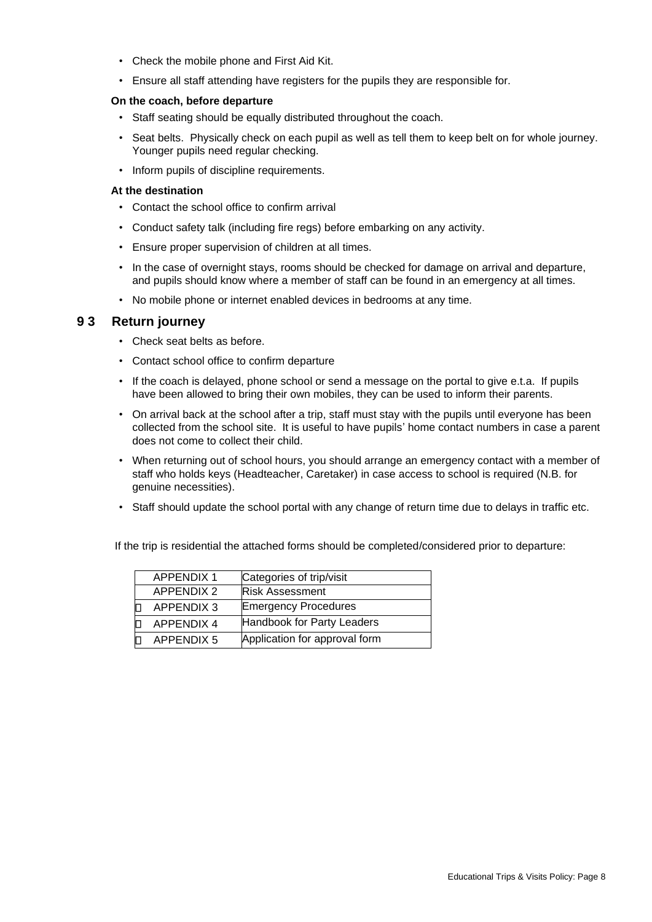- Check the mobile phone and First Aid Kit.
- Ensure all staff attending have registers for the pupils they are responsible for.

#### **On the coach, before departure**

- Staff seating should be equally distributed throughout the coach.
- Seat belts. Physically check on each pupil as well as tell them to keep belt on for whole journey. Younger pupils need regular checking.
- Inform pupils of discipline requirements.

#### **At the destination**

- Contact the school office to confirm arrival
- Conduct safety talk (including fire regs) before embarking on any activity.
- Ensure proper supervision of children at all times.
- In the case of overnight stays, rooms should be checked for damage on arrival and departure, and pupils should know where a member of staff can be found in an emergency at all times.
- No mobile phone or internet enabled devices in bedrooms at any time.

#### **9 3 Return journey**

- Check seat belts as before.
- Contact school office to confirm departure
- If the coach is delayed, phone school or send a message on the portal to give e.t.a. If pupils have been allowed to bring their own mobiles, they can be used to inform their parents.
- On arrival back at the school after a trip, staff must stay with the pupils until everyone has been collected from the school site. It is useful to have pupils' home contact numbers in case a parent does not come to collect their child.
- When returning out of school hours, you should arrange an emergency contact with a member of staff who holds keys (Headteacher, Caretaker) in case access to school is required (N.B. for genuine necessities).
- Staff should update the school portal with any change of return time due to delays in traffic etc.

If the trip is residential the attached forms should be completed/considered prior to departure:

| <b>APPENDIX 1</b> | Categories of trip/visit      |
|-------------------|-------------------------------|
| <b>APPENDIX 2</b> | <b>Risk Assessment</b>        |
| <b>APPENDIX 3</b> | <b>Emergency Procedures</b>   |
| <b>APPENDIX 4</b> | Handbook for Party Leaders    |
| <b>APPENDIX 5</b> | Application for approval form |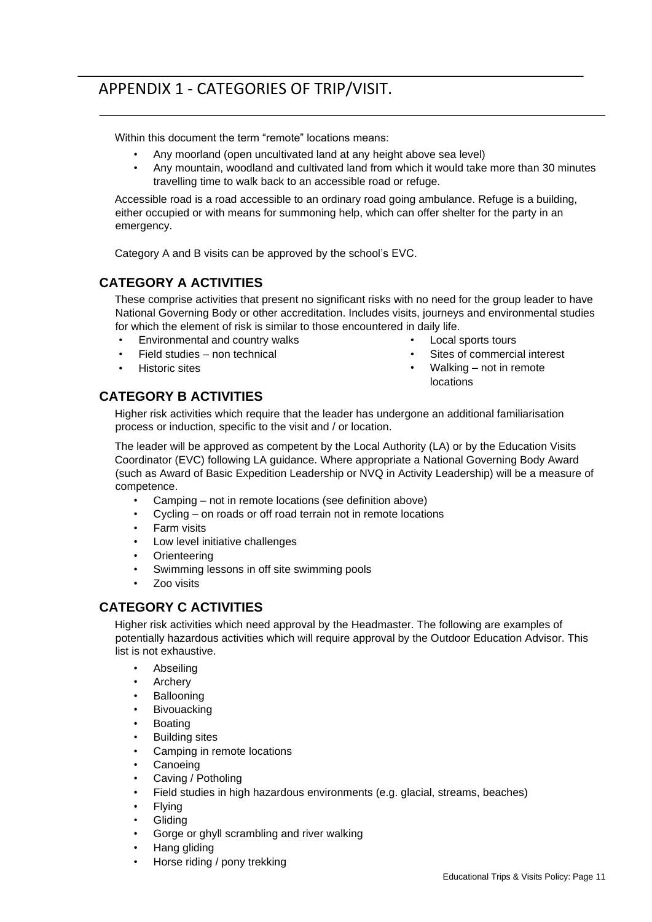# APPENDIX 1 - CATEGORIES OF TRIP/VISIT.

Within this document the term "remote" locations means:

- Any moorland (open uncultivated land at any height above sea level)
- Any mountain, woodland and cultivated land from which it would take more than 30 minutes travelling time to walk back to an accessible road or refuge.

Accessible road is a road accessible to an ordinary road going ambulance. Refuge is a building, either occupied or with means for summoning help, which can offer shelter for the party in an emergency.

Category A and B visits can be approved by the school's EVC.

## **CATEGORY A ACTIVITIES**

These comprise activities that present no significant risks with no need for the group leader to have National Governing Body or other accreditation. Includes visits, journeys and environmental studies for which the element of risk is similar to those encountered in daily life.

- Environmental and country walks
- Field studies non technical
- Historic sites
- Local sports tours
- Sites of commercial interest
- Walking not in remote locations

## **CATEGORY B ACTIVITIES**

Higher risk activities which require that the leader has undergone an additional familiarisation process or induction, specific to the visit and / or location.

The leader will be approved as competent by the Local Authority (LA) or by the Education Visits Coordinator (EVC) following LA guidance. Where appropriate a National Governing Body Award (such as Award of Basic Expedition Leadership or NVQ in Activity Leadership) will be a measure of competence.

- Camping not in remote locations (see definition above)
- Cycling on roads or off road terrain not in remote locations
- Farm visits
- Low level initiative challenges
- **Orienteering**
- Swimming lessons in off site swimming pools
- Zoo visits

## **CATEGORY C ACTIVITIES**

Higher risk activities which need approval by the Headmaster. The following are examples of potentially hazardous activities which will require approval by the Outdoor Education Advisor. This list is not exhaustive.

- Abseiling
- **Archery**
- **Ballooning**
- **Bivouacking**
- **Boating**
- Building sites
- Camping in remote locations
- **Canoeing**
- Caving / Potholing
- Field studies in high hazardous environments (e.g. glacial, streams, beaches)
- Flying
- **Gliding**
- Gorge or ghyll scrambling and river walking
- Hang gliding
- Horse riding / pony trekking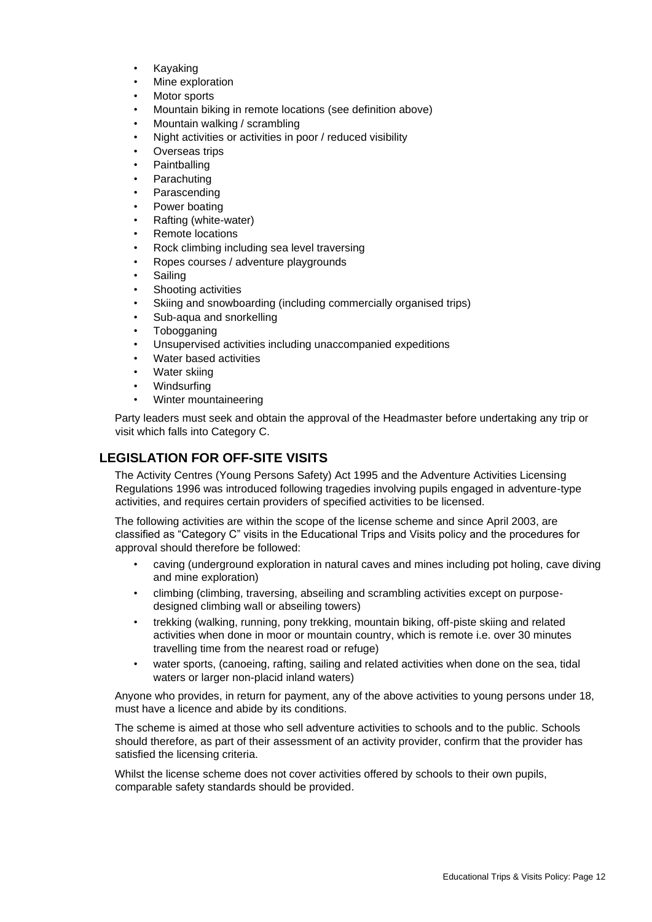- Kayaking
- Mine exploration
- Motor sports
- Mountain biking in remote locations (see definition above)
- Mountain walking / scrambling
- Night activities or activities in poor / reduced visibility
- Overseas trips
- Paintballing
- **Parachuting**
- **Parascending**
- Power boating
- Rafting (white-water)
- Remote locations
- Rock climbing including sea level traversing
- Ropes courses / adventure playgrounds
- **Sailing**
- Shooting activities
- Skiing and snowboarding (including commercially organised trips)
- Sub-aqua and snorkelling
- **Tobogganing**
- Unsupervised activities including unaccompanied expeditions
- Water based activities
- Water skiing
- Windsurfing
- Winter mountaineering

Party leaders must seek and obtain the approval of the Headmaster before undertaking any trip or visit which falls into Category C.

## **LEGISLATION FOR OFF-SITE VISITS**

The Activity Centres (Young Persons Safety) Act 1995 and the Adventure Activities Licensing Regulations 1996 was introduced following tragedies involving pupils engaged in adventure-type activities, and requires certain providers of specified activities to be licensed.

The following activities are within the scope of the license scheme and since April 2003, are classified as "Category C" visits in the Educational Trips and Visits policy and the procedures for approval should therefore be followed:

- caving (underground exploration in natural caves and mines including pot holing, cave diving and mine exploration)
- climbing (climbing, traversing, abseiling and scrambling activities except on purposedesigned climbing wall or abseiling towers)
- trekking (walking, running, pony trekking, mountain biking, off-piste skiing and related activities when done in moor or mountain country, which is remote i.e. over 30 minutes travelling time from the nearest road or refuge)
- water sports, (canoeing, rafting, sailing and related activities when done on the sea, tidal waters or larger non-placid inland waters)

Anyone who provides, in return for payment, any of the above activities to young persons under 18, must have a licence and abide by its conditions.

The scheme is aimed at those who sell adventure activities to schools and to the public. Schools should therefore, as part of their assessment of an activity provider, confirm that the provider has satisfied the licensing criteria.

Whilst the license scheme does not cover activities offered by schools to their own pupils, comparable safety standards should be provided.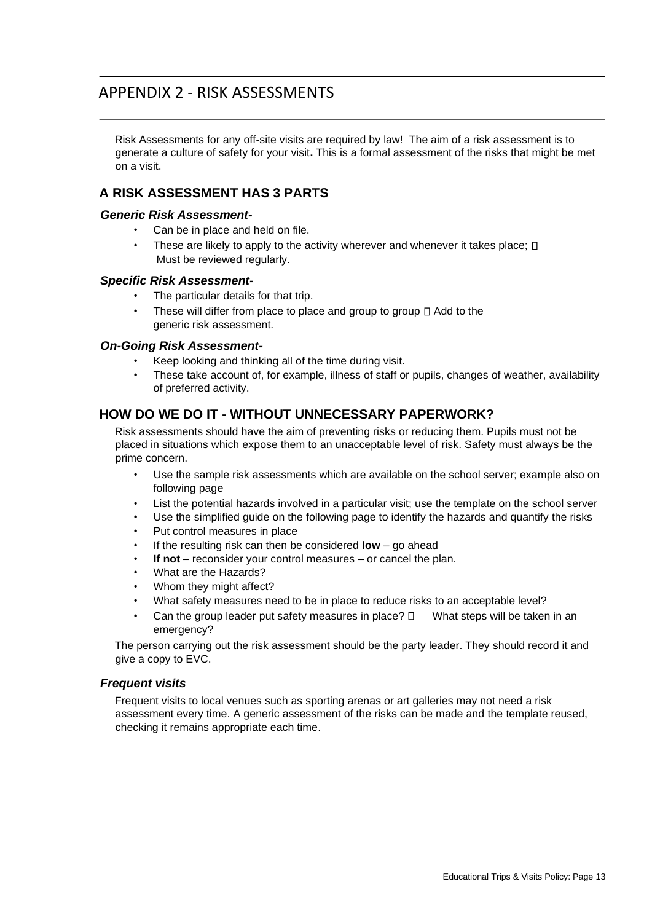## APPENDIX 2 - RISK ASSESSMENTS

Risk Assessments for any off-site visits are required by law! The aim of a risk assessment is to generate a culture of safety for your visit**.** This is a formal assessment of the risks that might be met on a visit.

## **A RISK ASSESSMENT HAS 3 PARTS**

#### *Generic Risk Assessment-*

- Can be in place and held on file.
- These are likely to apply to the activity wherever and whenever it takes place;  $\square$ Must be reviewed regularly.

#### *Specific Risk Assessment-*

- The particular details for that trip.
- These will differ from place to place and group to group  $\square$  Add to the generic risk assessment.

#### *On-Going Risk Assessment-*

- Keep looking and thinking all of the time during visit.
- These take account of, for example, illness of staff or pupils, changes of weather, availability of preferred activity.

## **HOW DO WE DO IT - WITHOUT UNNECESSARY PAPERWORK?**

Risk assessments should have the aim of preventing risks or reducing them. Pupils must not be placed in situations which expose them to an unacceptable level of risk. Safety must always be the prime concern.

- Use the sample risk assessments which are available on the school server; example also on following page
- List the potential hazards involved in a particular visit; use the template on the school server
- Use the simplified guide on the following page to identify the hazards and quantify the risks
- Put control measures in place
- If the resulting risk can then be considered **low** go ahead
- **If not** reconsider your control measures or cancel the plan.
- What are the Hazards?
- Whom they might affect?
- What safety measures need to be in place to reduce risks to an acceptable level?
- Can the group leader put safety measures in place?  $\square$  What steps will be taken in an emergency?

The person carrying out the risk assessment should be the party leader. They should record it and give a copy to EVC.

#### *Frequent visits*

Frequent visits to local venues such as sporting arenas or art galleries may not need a risk assessment every time. A generic assessment of the risks can be made and the template reused, checking it remains appropriate each time.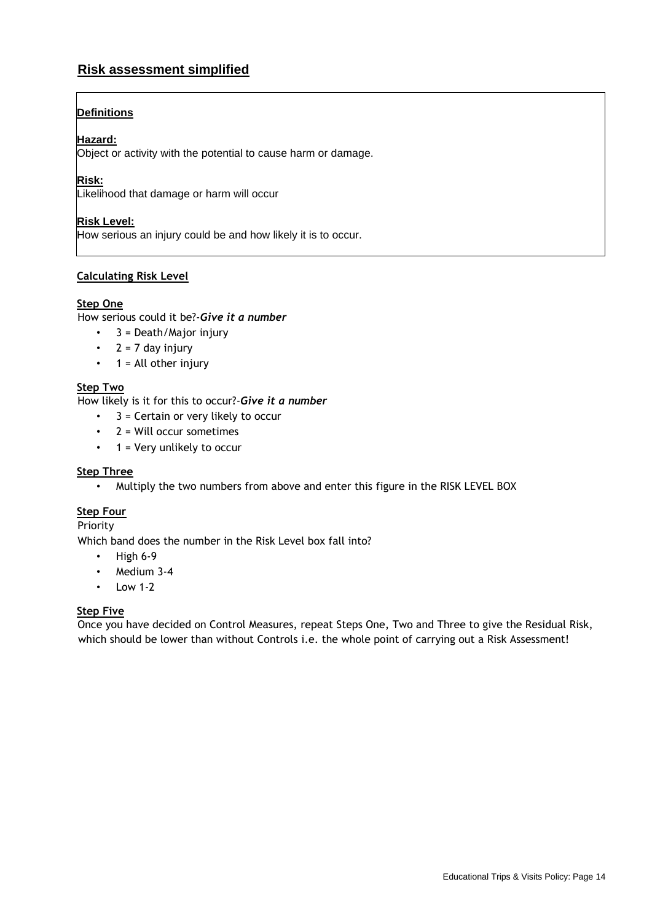## **Risk assessment simplified**

## **Definitions**

#### **Hazard:**

Object or activity with the potential to cause harm or damage.

#### **Risk:**

Likelihood that damage or harm will occur

#### **Risk Level:**

How serious an injury could be and how likely it is to occur.

#### **Calculating Risk Level**

#### **Step One**

How serious could it be?-*Give it a number* 

- $\cdot$  3 = Death/Major injury
- $2 = 7$  day injury
- $\cdot$  1 = All other injury

#### **Step Two**

How likely is it for this to occur?-*Give it a number*

- 3 = Certain or very likely to occur
- 2 = Will occur sometimes
- $\cdot$  1 = Very unlikely to occur

#### **Step Three**

• Multiply the two numbers from above and enter this figure in the RISK LEVEL BOX

#### **Step Four**

Priority

Which band does the number in the Risk Level box fall into?

- $\cdot$  High 6-9
- Medium 3-4
- $\cdot$  Low 1-2

#### **Step Five**

Once you have decided on Control Measures, repeat Steps One, Two and Three to give the Residual Risk, which should be lower than without Controls i.e. the whole point of carrying out a Risk Assessment!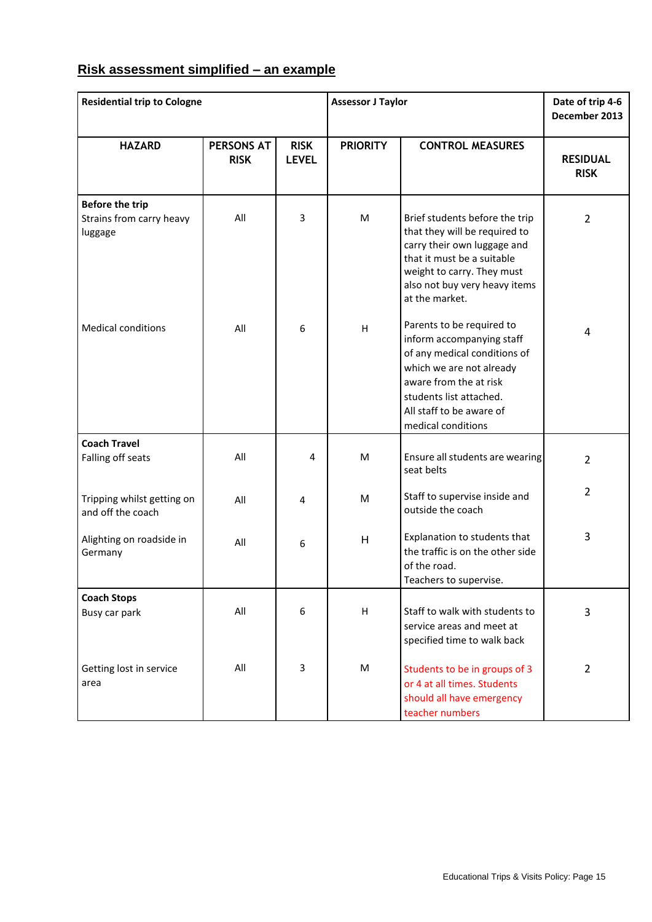## **Risk assessment simplified – an example**

| <b>Residential trip to Cologne</b>                            |                                  |                             | <b>Assessor J Taylor</b> |                                                                                                                                                                                                                           | Date of trip 4-6<br>December 2013 |
|---------------------------------------------------------------|----------------------------------|-----------------------------|--------------------------|---------------------------------------------------------------------------------------------------------------------------------------------------------------------------------------------------------------------------|-----------------------------------|
| <b>HAZARD</b>                                                 | <b>PERSONS AT</b><br><b>RISK</b> | <b>RISK</b><br><b>LEVEL</b> | <b>PRIORITY</b>          | <b>CONTROL MEASURES</b>                                                                                                                                                                                                   | <b>RESIDUAL</b><br><b>RISK</b>    |
| <b>Before the trip</b><br>Strains from carry heavy<br>luggage | All                              | 3                           | M                        | Brief students before the trip<br>that they will be required to<br>carry their own luggage and<br>that it must be a suitable<br>weight to carry. They must<br>also not buy very heavy items<br>at the market.             | $\overline{2}$                    |
| <b>Medical conditions</b>                                     | All                              | 6                           | H                        | Parents to be required to<br>inform accompanying staff<br>of any medical conditions of<br>which we are not already<br>aware from the at risk<br>students list attached.<br>All staff to be aware of<br>medical conditions | 4                                 |
| <b>Coach Travel</b><br>Falling off seats                      | All                              | 4                           | M                        | Ensure all students are wearing<br>seat belts                                                                                                                                                                             | $\overline{2}$                    |
| Tripping whilst getting on<br>and off the coach               | All                              | 4                           | M                        | Staff to supervise inside and<br>outside the coach                                                                                                                                                                        | $\overline{2}$                    |
| Alighting on roadside in<br>Germany                           | All                              | 6                           | H                        | Explanation to students that<br>the traffic is on the other side<br>of the road.<br>Teachers to supervise.                                                                                                                | 3                                 |
| <b>Coach Stops</b><br>Busy car park                           | All                              | 6                           | H                        | Staff to walk with students to<br>service areas and meet at<br>specified time to walk back                                                                                                                                | 3                                 |
| Getting lost in service<br>area                               | All                              | 3                           | M                        | Students to be in groups of 3<br>or 4 at all times. Students<br>should all have emergency<br>teacher numbers                                                                                                              | $\overline{2}$                    |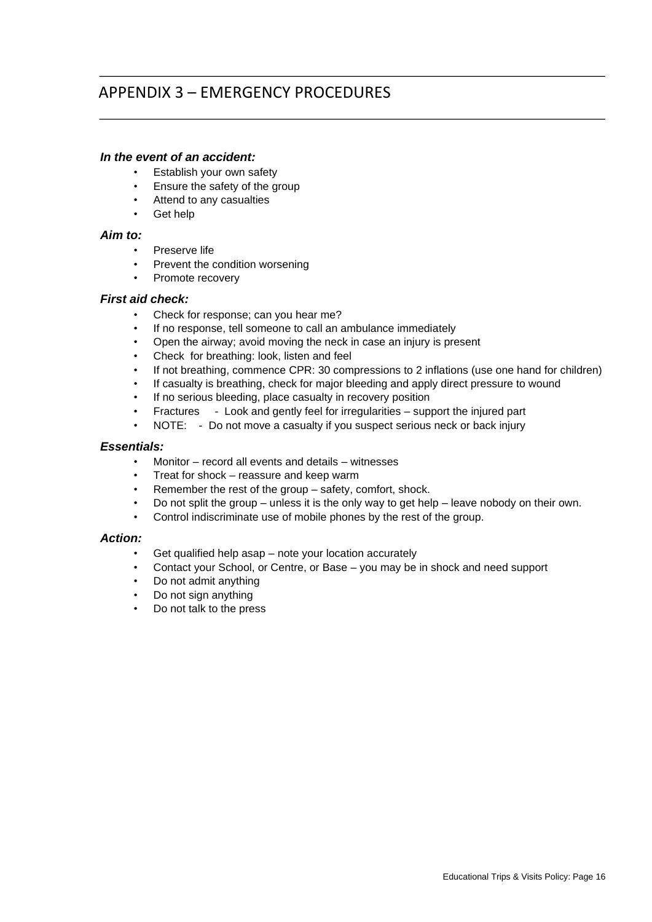# APPENDIX 3 – EMERGENCY PROCEDURES

#### *In the event of an accident:*

- Establish your own safety
- Ensure the safety of the group
- Attend to any casualties
- Get help

#### *Aim to:*

- Preserve life
- Prevent the condition worsening
- Promote recovery

#### *First aid check:*

- Check for response; can you hear me?
- If no response, tell someone to call an ambulance immediately
- Open the airway; avoid moving the neck in case an injury is present
- Check for breathing: look, listen and feel
- If not breathing, commence CPR: 30 compressions to 2 inflations (use one hand for children)
- If casualty is breathing, check for major bleeding and apply direct pressure to wound
- If no serious bleeding, place casualty in recovery position
- Fractures Look and gently feel for irregularities support the injured part
- NOTE: Do not move a casualty if you suspect serious neck or back injury

#### *Essentials:*

- Monitor record all events and details witnesses
- Treat for shock reassure and keep warm
- Remember the rest of the group safety, comfort, shock.
- Do not split the group unless it is the only way to get help leave nobody on their own.
- Control indiscriminate use of mobile phones by the rest of the group.

#### *Action:*

- Get qualified help asap note your location accurately
- Contact your School, or Centre, or Base you may be in shock and need support
- Do not admit anything
- Do not sign anything
- Do not talk to the press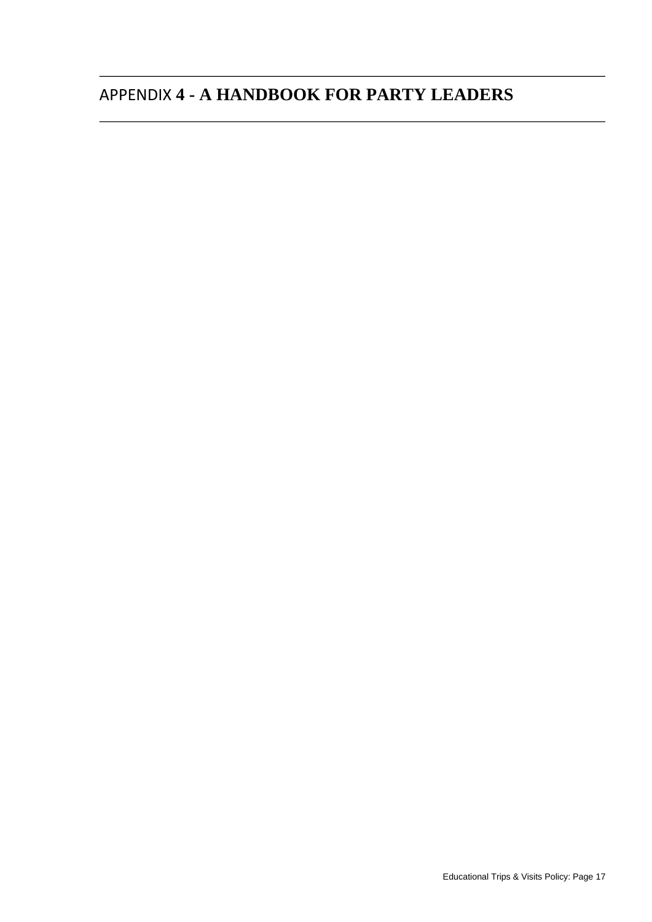# APPENDIX **4 - A HANDBOOK FOR PARTY LEADERS**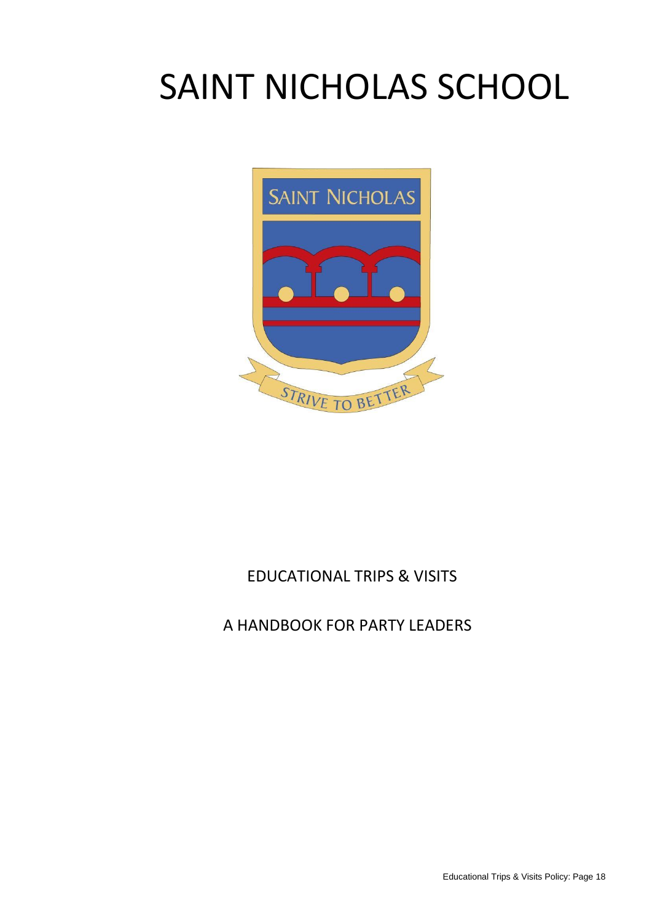# SAINT NICHOLAS SCHOOL



# EDUCATIONAL TRIPS & VISITS

# A HANDBOOK FOR PARTY LEADERS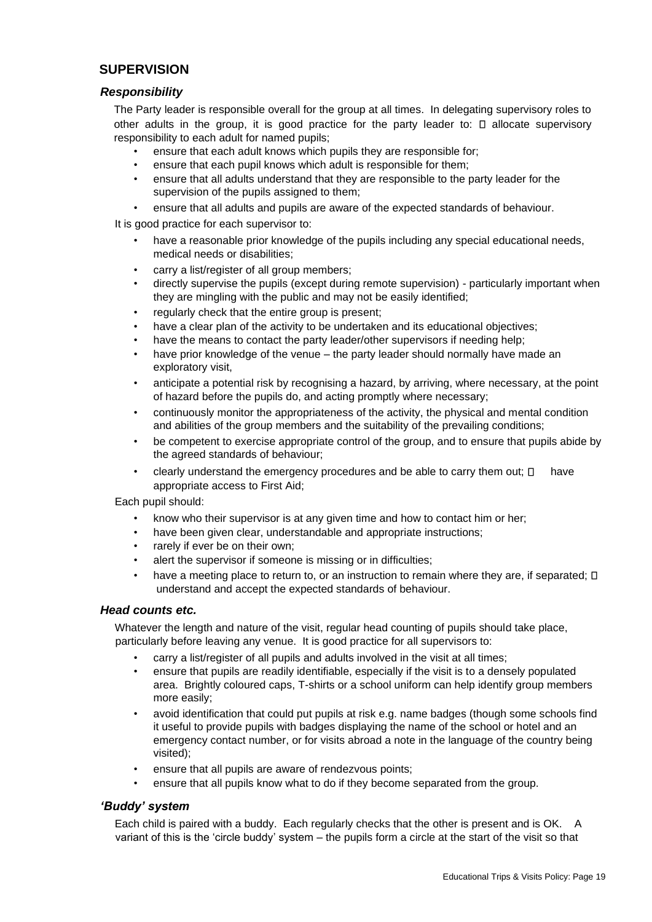## **SUPERVISION**

#### *Responsibility*

The Party leader is responsible overall for the group at all times. In delegating supervisory roles to other adults in the group, it is good practice for the party leader to:  $\Box$  allocate supervisory responsibility to each adult for named pupils;

- ensure that each adult knows which pupils they are responsible for;
- ensure that each pupil knows which adult is responsible for them;
- ensure that all adults understand that they are responsible to the party leader for the supervision of the pupils assigned to them;
- ensure that all adults and pupils are aware of the expected standards of behaviour.

It is good practice for each supervisor to:

- have a reasonable prior knowledge of the pupils including any special educational needs, medical needs or disabilities;
- carry a list/register of all group members;
- directly supervise the pupils (except during remote supervision) particularly important when they are mingling with the public and may not be easily identified;
- regularly check that the entire group is present;
- have a clear plan of the activity to be undertaken and its educational objectives;
- have the means to contact the party leader/other supervisors if needing help;
- have prior knowledge of the venue the party leader should normally have made an exploratory visit,
- anticipate a potential risk by recognising a hazard, by arriving, where necessary, at the point of hazard before the pupils do, and acting promptly where necessary;
- continuously monitor the appropriateness of the activity, the physical and mental condition and abilities of the group members and the suitability of the prevailing conditions;
- be competent to exercise appropriate control of the group, and to ensure that pupils abide by the agreed standards of behaviour;
- clearly understand the emergency procedures and be able to carry them out;  $\Box$  have appropriate access to First Aid;

Each pupil should:

- know who their supervisor is at any given time and how to contact him or her;
- have been given clear, understandable and appropriate instructions;
- rarely if ever be on their own;
- alert the supervisor if someone is missing or in difficulties;
- have a meeting place to return to, or an instruction to remain where they are, if separated;  $\square$ understand and accept the expected standards of behaviour.

#### *Head counts etc.*

Whatever the length and nature of the visit, regular head counting of pupils should take place, particularly before leaving any venue. It is good practice for all supervisors to:

- carry a list/register of all pupils and adults involved in the visit at all times;
- ensure that pupils are readily identifiable, especially if the visit is to a densely populated area. Brightly coloured caps, T-shirts or a school uniform can help identify group members more easily;
- avoid identification that could put pupils at risk e.g. name badges (though some schools find it useful to provide pupils with badges displaying the name of the school or hotel and an emergency contact number, or for visits abroad a note in the language of the country being visited);
- ensure that all pupils are aware of rendezvous points;
- ensure that all pupils know what to do if they become separated from the group.

#### *'Buddy' system*

Each child is paired with a buddy. Each regularly checks that the other is present and is OK. A variant of this is the 'circle buddy' system – the pupils form a circle at the start of the visit so that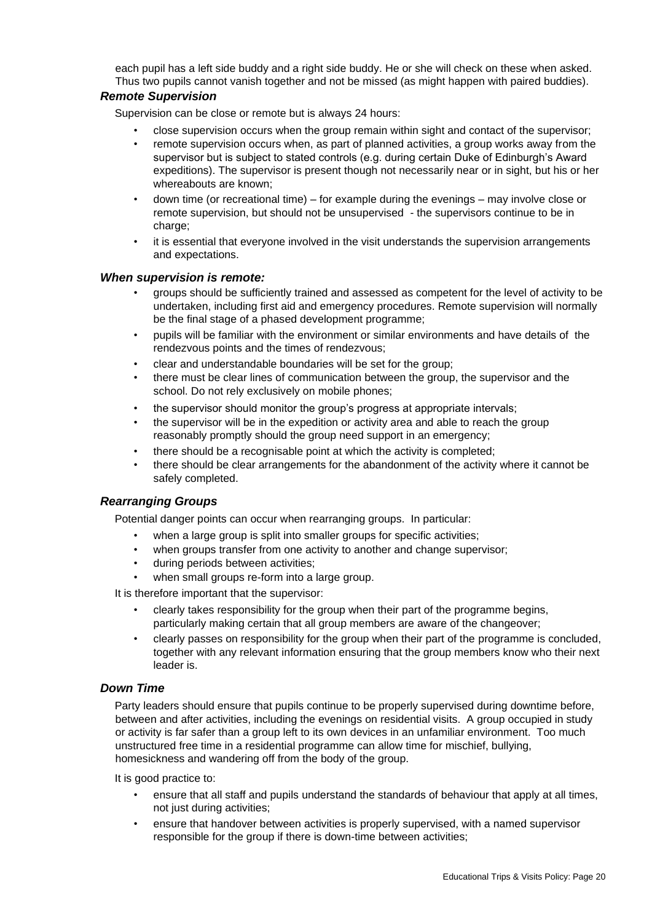each pupil has a left side buddy and a right side buddy. He or she will check on these when asked. Thus two pupils cannot vanish together and not be missed (as might happen with paired buddies).

#### *Remote Supervision*

Supervision can be close or remote but is always 24 hours:

- close supervision occurs when the group remain within sight and contact of the supervisor;
- remote supervision occurs when, as part of planned activities, a group works away from the supervisor but is subject to stated controls (e.g. during certain Duke of Edinburgh's Award expeditions). The supervisor is present though not necessarily near or in sight, but his or her whereabouts are known;
- down time (or recreational time) for example during the evenings may involve close or remote supervision, but should not be unsupervised - the supervisors continue to be in charge;
- it is essential that everyone involved in the visit understands the supervision arrangements and expectations.

#### *When supervision is remote:*

- groups should be sufficiently trained and assessed as competent for the level of activity to be undertaken, including first aid and emergency procedures. Remote supervision will normally be the final stage of a phased development programme;
- pupils will be familiar with the environment or similar environments and have details of the rendezvous points and the times of rendezvous;
- clear and understandable boundaries will be set for the group;
- there must be clear lines of communication between the group, the supervisor and the school. Do not rely exclusively on mobile phones;
- the supervisor should monitor the group's progress at appropriate intervals;
- the supervisor will be in the expedition or activity area and able to reach the group reasonably promptly should the group need support in an emergency;
- there should be a recognisable point at which the activity is completed;
- there should be clear arrangements for the abandonment of the activity where it cannot be safely completed.

#### *Rearranging Groups*

Potential danger points can occur when rearranging groups. In particular:

- when a large group is split into smaller groups for specific activities;
- when groups transfer from one activity to another and change supervisor;
- during periods between activities;
- when small groups re-form into a large group.

It is therefore important that the supervisor:

- clearly takes responsibility for the group when their part of the programme begins, particularly making certain that all group members are aware of the changeover;
- clearly passes on responsibility for the group when their part of the programme is concluded, together with any relevant information ensuring that the group members know who their next leader is.

#### *Down Time*

Party leaders should ensure that pupils continue to be properly supervised during downtime before, between and after activities, including the evenings on residential visits. A group occupied in study or activity is far safer than a group left to its own devices in an unfamiliar environment. Too much unstructured free time in a residential programme can allow time for mischief, bullying, homesickness and wandering off from the body of the group.

It is good practice to:

- ensure that all staff and pupils understand the standards of behaviour that apply at all times, not just during activities;
- ensure that handover between activities is properly supervised, with a named supervisor responsible for the group if there is down-time between activities;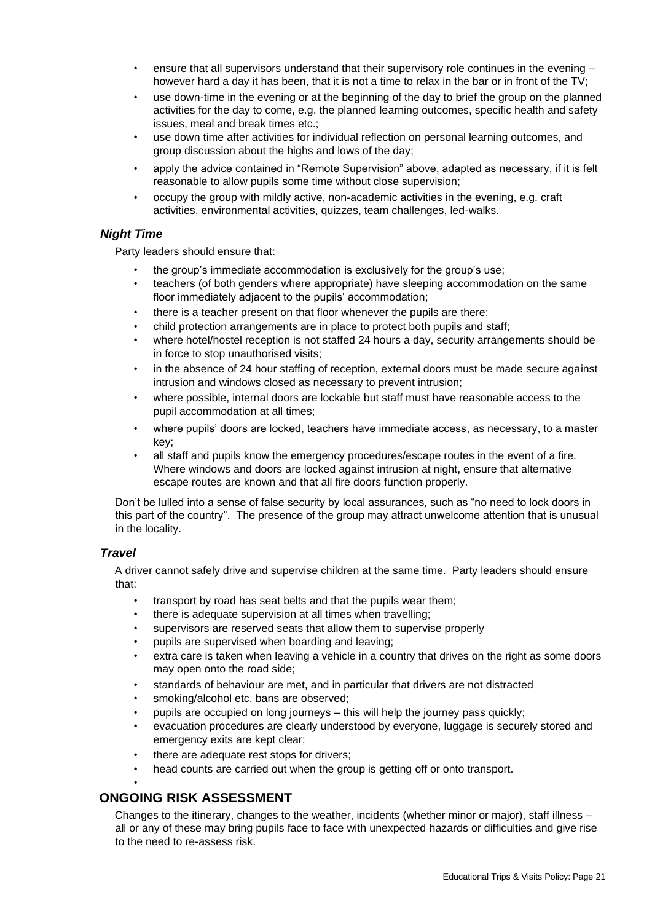- ensure that all supervisors understand that their supervisory role continues in the evening however hard a day it has been, that it is not a time to relax in the bar or in front of the TV;
- use down-time in the evening or at the beginning of the day to brief the group on the planned activities for the day to come, e.g. the planned learning outcomes, specific health and safety issues, meal and break times etc.;
- use down time after activities for individual reflection on personal learning outcomes, and group discussion about the highs and lows of the day;
- apply the advice contained in "Remote Supervision" above, adapted as necessary, if it is felt reasonable to allow pupils some time without close supervision;
- occupy the group with mildly active, non-academic activities in the evening, e.g. craft activities, environmental activities, quizzes, team challenges, led-walks.

#### *Night Time*

Party leaders should ensure that:

- the group's immediate accommodation is exclusively for the group's use;
- teachers (of both genders where appropriate) have sleeping accommodation on the same floor immediately adjacent to the pupils' accommodation;
- there is a teacher present on that floor whenever the pupils are there;
- child protection arrangements are in place to protect both pupils and staff;
- where hotel/hostel reception is not staffed 24 hours a day, security arrangements should be in force to stop unauthorised visits;
- in the absence of 24 hour staffing of reception, external doors must be made secure against intrusion and windows closed as necessary to prevent intrusion;
- where possible, internal doors are lockable but staff must have reasonable access to the pupil accommodation at all times;
- where pupils' doors are locked, teachers have immediate access, as necessary, to a master key;
- all staff and pupils know the emergency procedures/escape routes in the event of a fire. Where windows and doors are locked against intrusion at night, ensure that alternative escape routes are known and that all fire doors function properly.

Don't be lulled into a sense of false security by local assurances, such as "no need to lock doors in this part of the country". The presence of the group may attract unwelcome attention that is unusual in the locality.

#### *Travel*

A driver cannot safely drive and supervise children at the same time. Party leaders should ensure that:

- transport by road has seat belts and that the pupils wear them;
- there is adequate supervision at all times when travelling;
- supervisors are reserved seats that allow them to supervise properly
- pupils are supervised when boarding and leaving;
- extra care is taken when leaving a vehicle in a country that drives on the right as some doors may open onto the road side;
- standards of behaviour are met, and in particular that drivers are not distracted
- smoking/alcohol etc. bans are observed;
- pupils are occupied on long journeys this will help the journey pass quickly;
- evacuation procedures are clearly understood by everyone, luggage is securely stored and emergency exits are kept clear;
- there are adequate rest stops for drivers;
- head counts are carried out when the group is getting off or onto transport.

#### • **ONGOING RISK ASSESSMENT**

Changes to the itinerary, changes to the weather, incidents (whether minor or major), staff illness – all or any of these may bring pupils face to face with unexpected hazards or difficulties and give rise to the need to re-assess risk.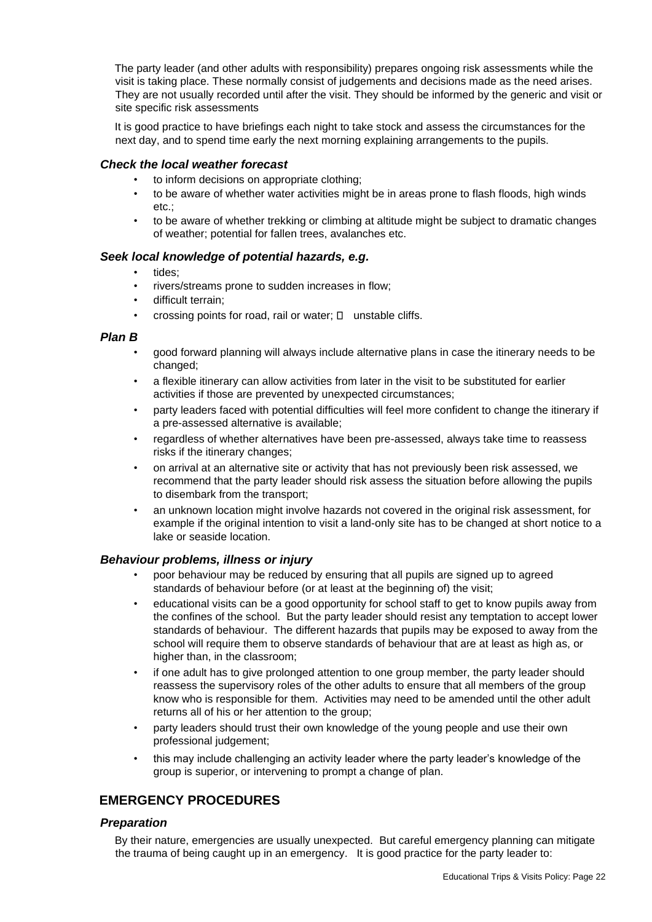The party leader (and other adults with responsibility) prepares ongoing risk assessments while the visit is taking place. These normally consist of judgements and decisions made as the need arises. They are not usually recorded until after the visit. They should be informed by the generic and visit or site specific risk assessments

It is good practice to have briefings each night to take stock and assess the circumstances for the next day, and to spend time early the next morning explaining arrangements to the pupils.

#### *Check the local weather forecast*

- to inform decisions on appropriate clothing;
- to be aware of whether water activities might be in areas prone to flash floods, high winds etc.;
- to be aware of whether trekking or climbing at altitude might be subject to dramatic changes of weather; potential for fallen trees, avalanches etc.

#### *Seek local knowledge of potential hazards, e.g.*

- tides;
- rivers/streams prone to sudden increases in flow;
- difficult terrain;
- crossing points for road, rail or water;  $\Box$  unstable cliffs.

#### *Plan B*

- good forward planning will always include alternative plans in case the itinerary needs to be changed;
- a flexible itinerary can allow activities from later in the visit to be substituted for earlier activities if those are prevented by unexpected circumstances;
- party leaders faced with potential difficulties will feel more confident to change the itinerary if a pre-assessed alternative is available;
- regardless of whether alternatives have been pre-assessed, always take time to reassess risks if the itinerary changes;
- on arrival at an alternative site or activity that has not previously been risk assessed, we recommend that the party leader should risk assess the situation before allowing the pupils to disembark from the transport;
- an unknown location might involve hazards not covered in the original risk assessment, for example if the original intention to visit a land-only site has to be changed at short notice to a lake or seaside location.

#### *Behaviour problems, illness or injury*

- poor behaviour may be reduced by ensuring that all pupils are signed up to agreed standards of behaviour before (or at least at the beginning of) the visit;
- educational visits can be a good opportunity for school staff to get to know pupils away from the confines of the school. But the party leader should resist any temptation to accept lower standards of behaviour. The different hazards that pupils may be exposed to away from the school will require them to observe standards of behaviour that are at least as high as, or higher than, in the classroom;
- if one adult has to give prolonged attention to one group member, the party leader should reassess the supervisory roles of the other adults to ensure that all members of the group know who is responsible for them. Activities may need to be amended until the other adult returns all of his or her attention to the group;
- party leaders should trust their own knowledge of the young people and use their own professional judgement;
- this may include challenging an activity leader where the party leader's knowledge of the group is superior, or intervening to prompt a change of plan.

## **EMERGENCY PROCEDURES**

#### *Preparation*

By their nature, emergencies are usually unexpected. But careful emergency planning can mitigate the trauma of being caught up in an emergency. It is good practice for the party leader to: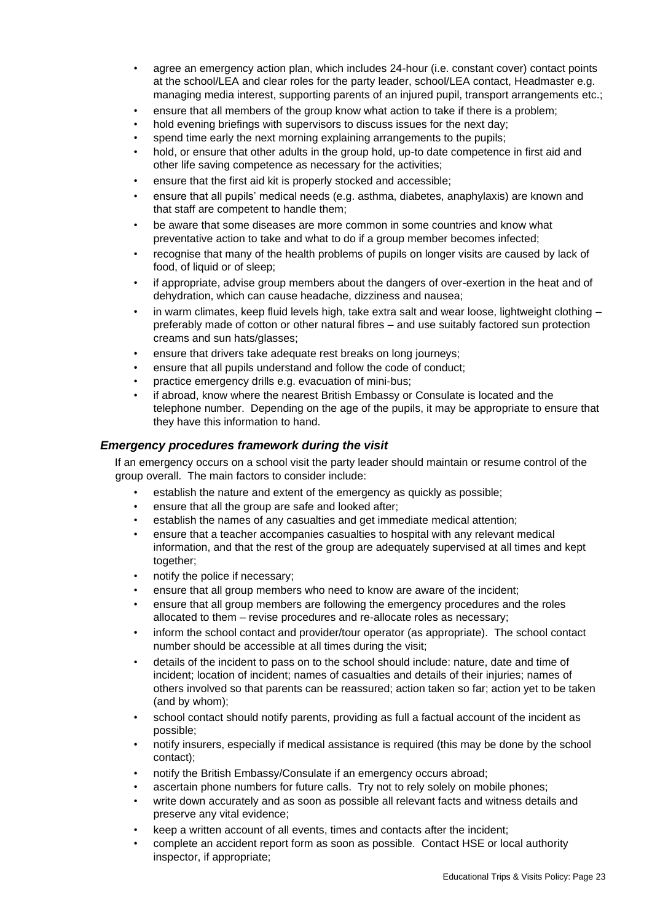- agree an emergency action plan, which includes 24-hour (i.e. constant cover) contact points at the school/LEA and clear roles for the party leader, school/LEA contact, Headmaster e.g. managing media interest, supporting parents of an injured pupil, transport arrangements etc.;
- ensure that all members of the group know what action to take if there is a problem;
- hold evening briefings with supervisors to discuss issues for the next day;
- spend time early the next morning explaining arrangements to the pupils;
- hold, or ensure that other adults in the group hold, up-to date competence in first aid and other life saving competence as necessary for the activities;
- ensure that the first aid kit is properly stocked and accessible;
- ensure that all pupils' medical needs (e.g. asthma, diabetes, anaphylaxis) are known and that staff are competent to handle them;
- be aware that some diseases are more common in some countries and know what preventative action to take and what to do if a group member becomes infected;
- recognise that many of the health problems of pupils on longer visits are caused by lack of food, of liquid or of sleep;
- if appropriate, advise group members about the dangers of over-exertion in the heat and of dehydration, which can cause headache, dizziness and nausea;
- in warm climates, keep fluid levels high, take extra salt and wear loose, lightweight clothing preferably made of cotton or other natural fibres – and use suitably factored sun protection creams and sun hats/glasses;
- ensure that drivers take adequate rest breaks on long journeys;
- ensure that all pupils understand and follow the code of conduct;
- practice emergency drills e.g. evacuation of mini-bus;
- if abroad, know where the nearest British Embassy or Consulate is located and the telephone number. Depending on the age of the pupils, it may be appropriate to ensure that they have this information to hand.

#### *Emergency procedures framework during the visit*

If an emergency occurs on a school visit the party leader should maintain or resume control of the group overall. The main factors to consider include:

- establish the nature and extent of the emergency as quickly as possible;
- ensure that all the group are safe and looked after;
- establish the names of any casualties and get immediate medical attention;
- ensure that a teacher accompanies casualties to hospital with any relevant medical information, and that the rest of the group are adequately supervised at all times and kept together;
- notify the police if necessary;
- ensure that all group members who need to know are aware of the incident;
- ensure that all group members are following the emergency procedures and the roles allocated to them – revise procedures and re-allocate roles as necessary;
- inform the school contact and provider/tour operator (as appropriate). The school contact number should be accessible at all times during the visit;
- details of the incident to pass on to the school should include: nature, date and time of incident; location of incident; names of casualties and details of their injuries; names of others involved so that parents can be reassured; action taken so far; action yet to be taken (and by whom);
- school contact should notify parents, providing as full a factual account of the incident as possible;
- notify insurers, especially if medical assistance is required (this may be done by the school contact);
- notify the British Embassy/Consulate if an emergency occurs abroad;
- ascertain phone numbers for future calls. Try not to rely solely on mobile phones;
- write down accurately and as soon as possible all relevant facts and witness details and preserve any vital evidence;
- keep a written account of all events, times and contacts after the incident;
- complete an accident report form as soon as possible. Contact HSE or local authority inspector, if appropriate;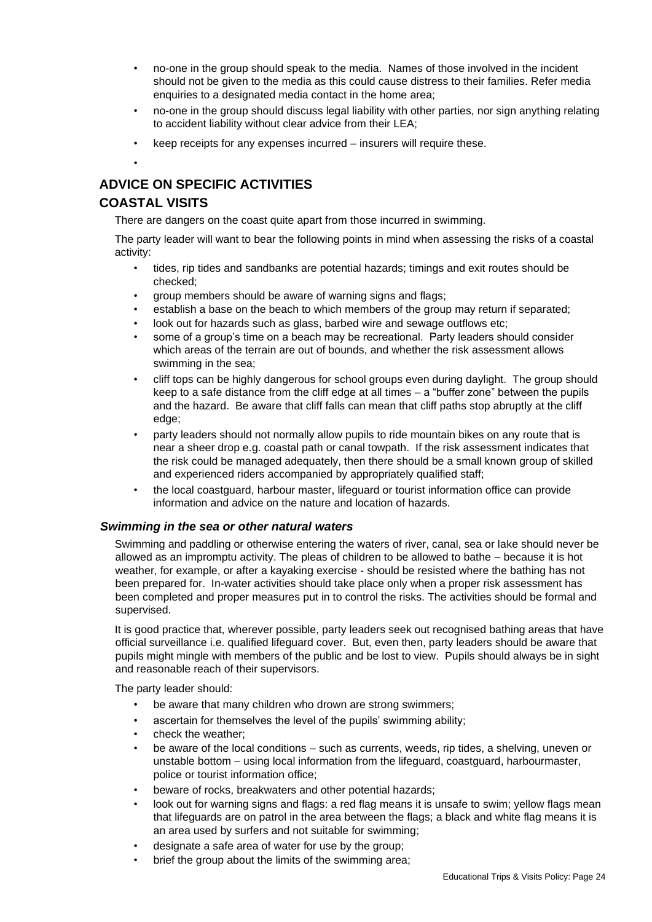- no-one in the group should speak to the media. Names of those involved in the incident should not be given to the media as this could cause distress to their families. Refer media enquiries to a designated media contact in the home area;
- no-one in the group should discuss legal liability with other parties, nor sign anything relating to accident liability without clear advice from their LEA;
- keep receipts for any expenses incurred insurers will require these.

## **ADVICE ON SPECIFIC ACTIVITIES**

## **COASTAL VISITS**

•

There are dangers on the coast quite apart from those incurred in swimming.

The party leader will want to bear the following points in mind when assessing the risks of a coastal activity:

- tides, rip tides and sandbanks are potential hazards; timings and exit routes should be checked;
- group members should be aware of warning signs and flags;
- establish a base on the beach to which members of the group may return if separated;
- look out for hazards such as glass, barbed wire and sewage outflows etc;
- some of a group's time on a beach may be recreational. Party leaders should consider which areas of the terrain are out of bounds, and whether the risk assessment allows swimming in the sea;
- cliff tops can be highly dangerous for school groups even during daylight. The group should keep to a safe distance from the cliff edge at all times – a "buffer zone" between the pupils and the hazard. Be aware that cliff falls can mean that cliff paths stop abruptly at the cliff edge;
- party leaders should not normally allow pupils to ride mountain bikes on any route that is near a sheer drop e.g. coastal path or canal towpath. If the risk assessment indicates that the risk could be managed adequately, then there should be a small known group of skilled and experienced riders accompanied by appropriately qualified staff;
- the local coastguard, harbour master, lifeguard or tourist information office can provide information and advice on the nature and location of hazards.

#### *Swimming in the sea or other natural waters*

Swimming and paddling or otherwise entering the waters of river, canal, sea or lake should never be allowed as an impromptu activity. The pleas of children to be allowed to bathe – because it is hot weather, for example, or after a kayaking exercise - should be resisted where the bathing has not been prepared for. In-water activities should take place only when a proper risk assessment has been completed and proper measures put in to control the risks. The activities should be formal and supervised.

It is good practice that, wherever possible, party leaders seek out recognised bathing areas that have official surveillance i.e. qualified lifeguard cover. But, even then, party leaders should be aware that pupils might mingle with members of the public and be lost to view. Pupils should always be in sight and reasonable reach of their supervisors.

The party leader should:

- be aware that many children who drown are strong swimmers;
- ascertain for themselves the level of the pupils' swimming ability;
- check the weather;
- be aware of the local conditions such as currents, weeds, rip tides, a shelving, uneven or unstable bottom – using local information from the lifeguard, coastguard, harbourmaster, police or tourist information office;
- beware of rocks, breakwaters and other potential hazards;
- look out for warning signs and flags: a red flag means it is unsafe to swim; yellow flags mean that lifeguards are on patrol in the area between the flags; a black and white flag means it is an area used by surfers and not suitable for swimming;
- designate a safe area of water for use by the group;
- brief the group about the limits of the swimming area;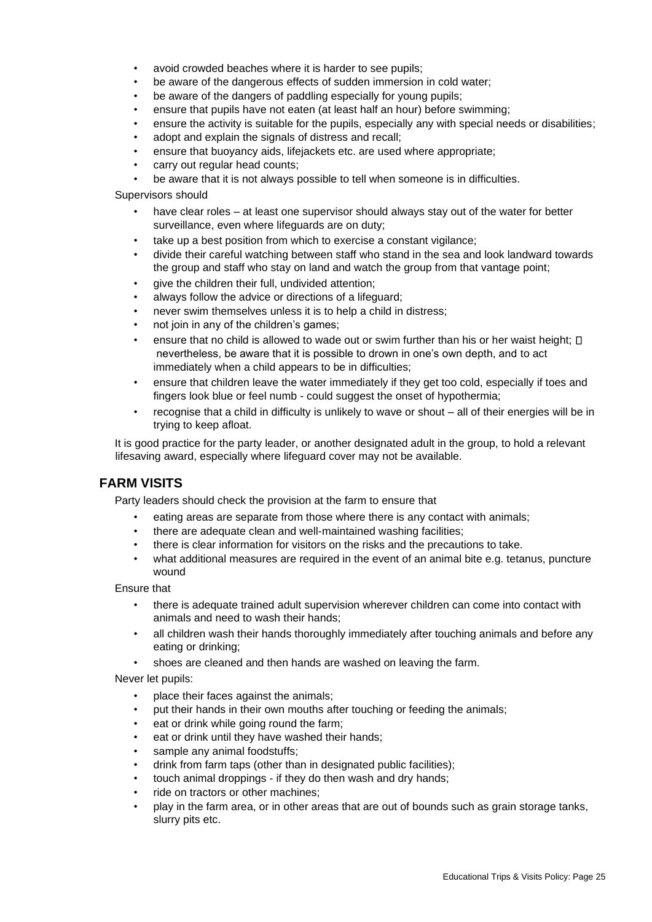- avoid crowded beaches where it is harder to see pupils;
- be aware of the dangerous effects of sudden immersion in cold water;
- be aware of the dangers of paddling especially for young pupils;
- ensure that pupils have not eaten (at least half an hour) before swimming;
- ensure the activity is suitable for the pupils, especially any with special needs or disabilities;
- adopt and explain the signals of distress and recall;
- ensure that buoyancy aids, lifejackets etc. are used where appropriate;
- carry out regular head counts;
- be aware that it is not always possible to tell when someone is in difficulties.

Supervisors should

- have clear roles at least one supervisor should always stay out of the water for better surveillance, even where lifeguards are on duty;
- take up a best position from which to exercise a constant vigilance;
- divide their careful watching between staff who stand in the sea and look landward towards the group and staff who stay on land and watch the group from that vantage point;
- give the children their full, undivided attention;
- always follow the advice or directions of a lifeguard;
- never swim themselves unless it is to help a child in distress;
- not join in any of the children's games;
- ensure that no child is allowed to wade out or swim further than his or her waist height;  $\Box$ nevertheless, be aware that it is possible to drown in one's own depth, and to act immediately when a child appears to be in difficulties;
- ensure that children leave the water immediately if they get too cold, especially if toes and fingers look blue or feel numb - could suggest the onset of hypothermia;
- recognise that a child in difficulty is unlikely to wave or shout all of their energies will be in trying to keep afloat.

It is good practice for the party leader, or another designated adult in the group, to hold a relevant lifesaving award, especially where lifeguard cover may not be available.

#### **FARM VISITS**

Party leaders should check the provision at the farm to ensure that

- eating areas are separate from those where there is any contact with animals;
- there are adequate clean and well-maintained washing facilities;
- there is clear information for visitors on the risks and the precautions to take.
- what additional measures are required in the event of an animal bite e.g. tetanus, puncture wound

Ensure that

- there is adequate trained adult supervision wherever children can come into contact with animals and need to wash their hands;
- all children wash their hands thoroughly immediately after touching animals and before any eating or drinking;
- shoes are cleaned and then hands are washed on leaving the farm.

Never let pupils:

- place their faces against the animals;
- put their hands in their own mouths after touching or feeding the animals;
- eat or drink while going round the farm;
- eat or drink until they have washed their hands;
- sample any animal foodstuffs;
- drink from farm taps (other than in designated public facilities);
- touch animal droppings if they do then wash and dry hands;
- ride on tractors or other machines;
- play in the farm area, or in other areas that are out of bounds such as grain storage tanks, slurry pits etc.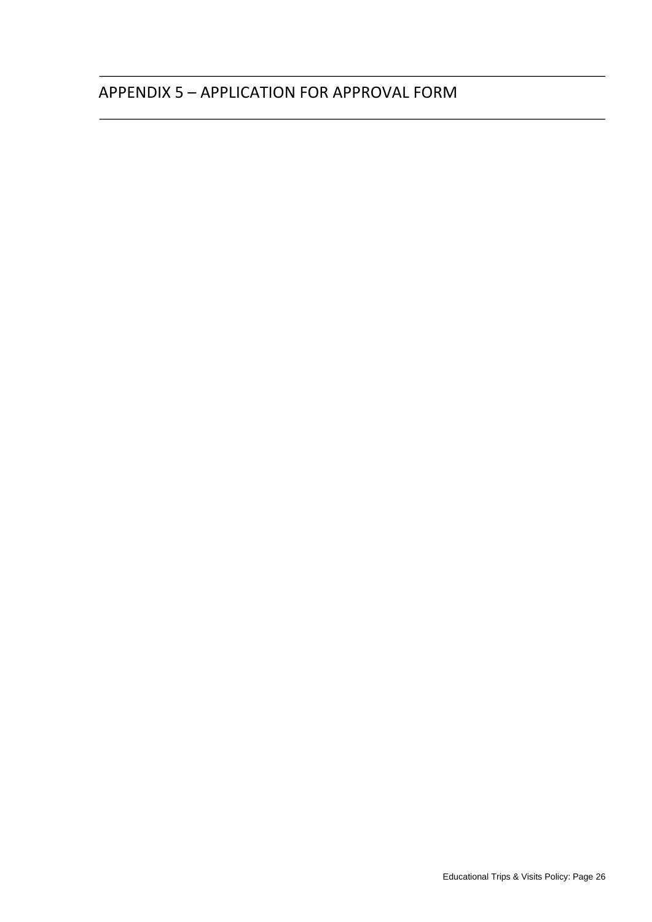# APPENDIX 5 – APPLICATION FOR APPROVAL FORM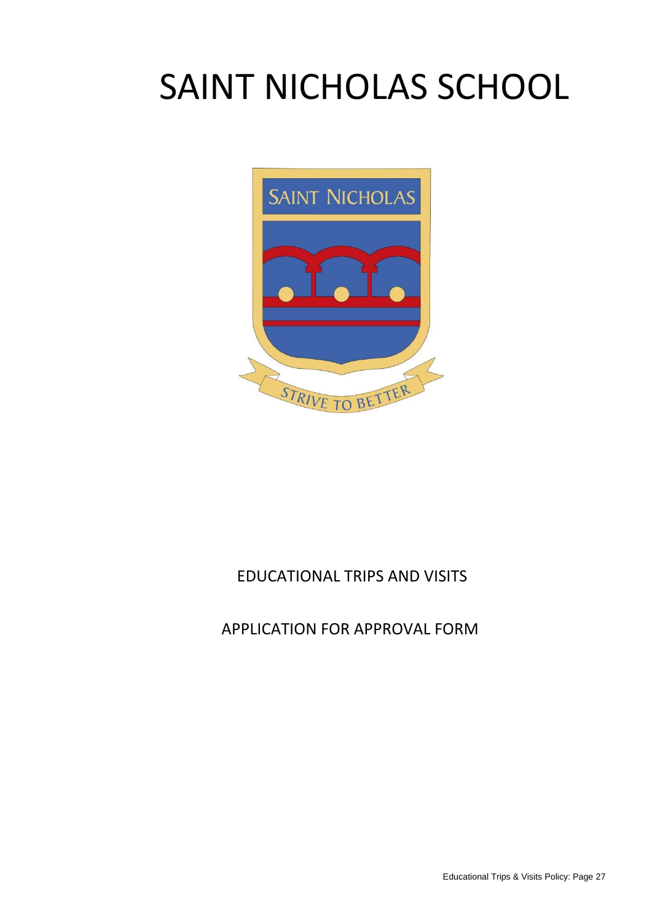# SAINT NICHOLAS SCHOOL



# EDUCATIONAL TRIPS AND VISITS

# APPLICATION FOR APPROVAL FORM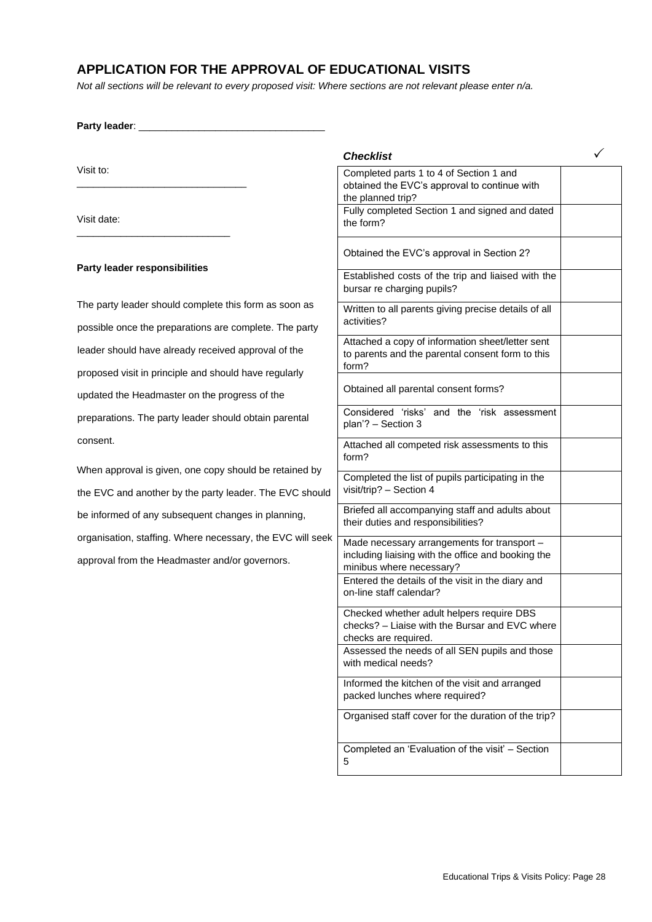## **APPLICATION FOR THE APPROVAL OF EDUCATIONAL VISITS**

*Not all sections will be relevant to every proposed visit: Where sections are not relevant please enter n/a.* 

Party leader:

\_\_\_\_\_\_\_\_\_\_\_\_\_\_\_\_\_\_\_\_\_\_\_\_\_\_\_\_\_\_\_

\_\_\_\_\_\_\_\_\_\_\_\_\_\_\_\_\_\_\_\_\_\_\_\_\_\_\_\_

Visit to:

Visit date:

#### **Party leader responsibilities**

The party leader should complete this form as soon as possible once the preparations are complete. The party leader should have already received approval of the proposed visit in principle and should have regularly updated the Headmaster on the progress of the preparations. The party leader should obtain parental consent.

When approval is given, one copy should be retained by the EVC and another by the party leader. The EVC should be informed of any subsequent changes in planning, organisation, staffing. Where necessary, the EVC will seek approval from the Headmaster and/or governors.

*Checklist*  Completed parts 1 to 4 of Section 1 and obtained the EVC's approval to continue with the planned trip? Fully completed Section 1 and signed and dated the form? Obtained the EVC's approval in Section 2? Established costs of the trip and liaised with the bursar re charging pupils? Written to all parents giving precise details of all activities? Attached a copy of information sheet/letter sent to parents and the parental consent form to this form? Obtained all parental consent forms? Considered 'risks' and the 'risk assessment plan'? – Section 3 Attached all competed risk assessments to this form? Completed the list of pupils participating in the visit/trip? – Section 4 Briefed all accompanying staff and adults about their duties and responsibilities? Made necessary arrangements for transport – including liaising with the office and booking the minibus where necessary? Entered the details of the visit in the diary and on-line staff calendar? Checked whether adult helpers require DBS checks? – Liaise with the Bursar and EVC where checks are required. Assessed the needs of all SEN pupils and those with medical needs? Informed the kitchen of the visit and arranged packed lunches where required? Organised staff cover for the duration of the trip? Completed an 'Evaluation of the visit' – Section 5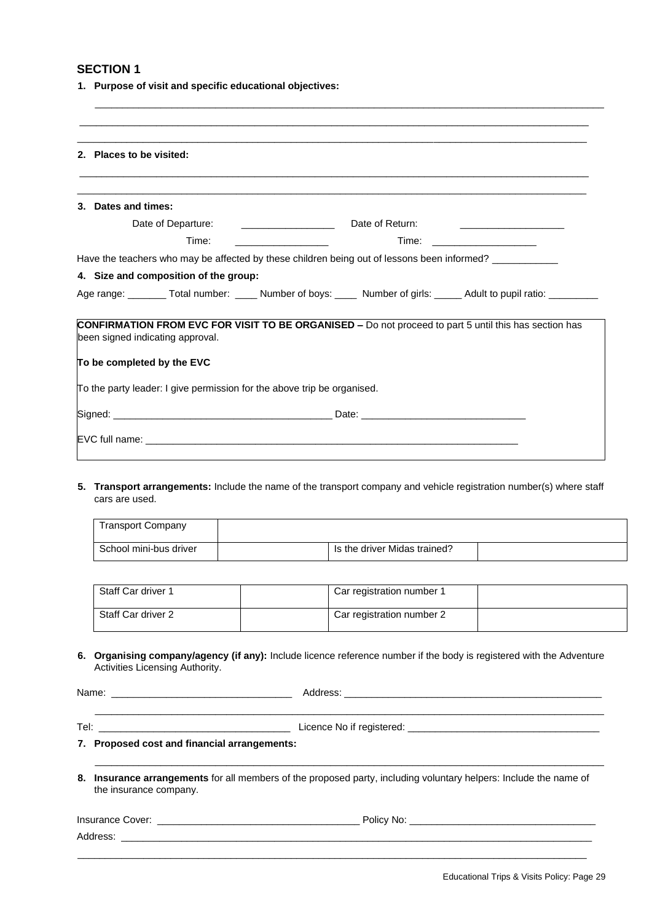**1. Purpose of visit and specific educational objectives:** 

| 2. Places to be visited:                                                                                                                  |                                                                                                                                                                                                                                               |
|-------------------------------------------------------------------------------------------------------------------------------------------|-----------------------------------------------------------------------------------------------------------------------------------------------------------------------------------------------------------------------------------------------|
| 3. Dates and times:                                                                                                                       |                                                                                                                                                                                                                                               |
| Date of Departure:                                                                                                                        | Date of Return:<br>the company of the company of the company of the                                                                                                                                                                           |
| Time:                                                                                                                                     | Time:<br><u> 1980 - Johann Harry Harry Harry Harry Harry Harry Harry Harry Harry Harry Harry Harry Harry Harry Harry Harry Harry Harry Harry Harry Harry Harry Harry Harry Harry Harry Harry Harry Harry Harry Harry Harry Harry Harry Ha</u> |
|                                                                                                                                           | Have the teachers who may be affected by these children being out of lessons been informed?                                                                                                                                                   |
| 4. Size and composition of the group:                                                                                                     |                                                                                                                                                                                                                                               |
|                                                                                                                                           | Age range: ________ Total number: _____ Number of boys: _____ Number of girls: _____ Adult to pupil ratio: _________                                                                                                                          |
|                                                                                                                                           | <b>CONFIRMATION FROM EVC FOR VISIT TO BE ORGANISED -</b> Do not proceed to part 5 until this has section has                                                                                                                                  |
|                                                                                                                                           |                                                                                                                                                                                                                                               |
|                                                                                                                                           |                                                                                                                                                                                                                                               |
| been signed indicating approval.<br>To be completed by the EVC<br>To the party leader: I give permission for the above trip be organised. |                                                                                                                                                                                                                                               |
|                                                                                                                                           |                                                                                                                                                                                                                                               |

\_\_\_\_\_\_\_\_\_\_\_\_\_\_\_\_\_\_\_\_\_\_\_\_\_\_\_\_\_\_\_\_\_\_\_\_\_\_\_\_\_\_\_\_\_\_\_\_\_\_\_\_\_\_\_\_\_\_\_\_\_\_\_\_\_\_\_\_\_\_\_\_\_\_\_\_\_\_\_\_\_\_\_\_\_\_\_\_\_\_\_\_\_

**5. Transport arrangements:** Include the name of the transport company and vehicle registration number(s) where staff cars are used.

| Transport Company      |                              |  |
|------------------------|------------------------------|--|
| School mini-bus driver | Is the driver Midas trained? |  |

| Staff Car driver 1 | Car registration number 1 |  |
|--------------------|---------------------------|--|
| Staff Car driver 2 | Car registration number 2 |  |

**6. Organising company/agency (if any):** Include licence reference number if the body is registered with the Adventure Activities Licensing Authority.

Name: \_\_\_\_\_\_\_\_\_\_\_\_\_\_\_\_\_\_\_\_\_\_\_\_\_\_\_\_\_\_\_\_\_ Address: \_\_\_\_\_\_\_\_\_\_\_\_\_\_\_\_\_\_\_\_\_\_\_\_\_\_\_\_\_\_\_\_\_\_\_\_\_\_\_\_\_\_\_\_\_\_\_

Tel: \_\_\_\_\_\_\_\_\_\_\_\_\_\_\_\_\_\_\_\_\_\_\_\_\_\_\_\_\_\_\_\_\_\_\_ Licence No if registered: \_\_\_\_\_\_\_\_\_\_\_\_\_\_\_\_\_\_\_\_\_\_\_\_\_\_\_\_\_\_\_\_\_\_\_

\_\_\_\_\_\_\_\_\_\_\_\_\_\_\_\_\_\_\_\_\_\_\_\_\_\_\_\_\_\_\_\_\_\_\_\_\_\_\_\_\_\_\_\_\_\_\_\_\_\_\_\_\_\_\_\_\_\_\_\_\_\_\_\_\_\_\_\_\_\_\_\_\_\_\_\_\_\_\_\_\_\_\_\_\_\_\_\_\_\_\_\_\_

\_\_\_\_\_\_\_\_\_\_\_\_\_\_\_\_\_\_\_\_\_\_\_\_\_\_\_\_\_\_\_\_\_\_\_\_\_\_\_\_\_\_\_\_\_\_\_\_\_\_\_\_\_\_\_\_\_\_\_\_\_\_\_\_\_\_\_\_\_\_\_\_\_\_\_\_\_\_\_\_\_\_\_\_\_\_\_\_\_\_\_\_\_

#### **7. Proposed cost and financial arrangements:**

**8. Insurance arrangements** for all members of the proposed party, including voluntary helpers: Include the name of the insurance company.

| Ins<br>אר. | NG<br>лис |
|------------|-----------|
|            |           |

 $\overline{\phantom{a}}$  , and the set of the set of the set of the set of the set of the set of the set of the set of the set of the set of the set of the set of the set of the set of the set of the set of the set of the set of the s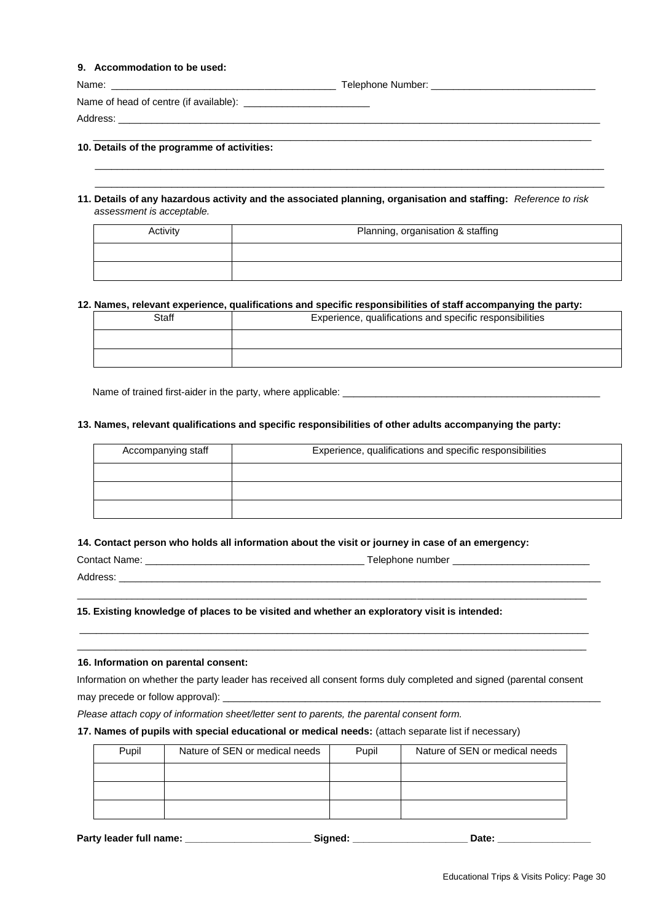#### **9. Accommodation to be used:**

| Name:                                       |  |
|---------------------------------------------|--|
|                                             |  |
| Address:                                    |  |
| 10. Details of the programme of activities: |  |

 $\_$  ,  $\_$  ,  $\_$  ,  $\_$  ,  $\_$  ,  $\_$  ,  $\_$  ,  $\_$  ,  $\_$  ,  $\_$  ,  $\_$  ,  $\_$  ,  $\_$  ,  $\_$  ,  $\_$  ,  $\_$  ,  $\_$  ,  $\_$  ,  $\_$  ,  $\_$  ,  $\_$  ,  $\_$  ,  $\_$  ,  $\_$  ,  $\_$  ,  $\_$  ,  $\_$  ,  $\_$  ,  $\_$  ,  $\_$  ,  $\_$  ,  $\_$  ,  $\_$  ,  $\_$  ,  $\_$  ,  $\_$  ,  $\_$  ,  $\_$  ,  $\_$  ,  $\_$  ,  $\_$  ,  $\_$  ,  $\_$  ,  $\_$  ,  $\_$  ,  $\_$  ,  $\_$  ,  $\_$  ,  $\_$  ,  $\_$  ,  $\_$  ,  $\_$  ,  $\_$  ,  $\_$  ,  $\_$  ,  $\_$  ,  $\_$  ,  $\_$  ,  $\_$  ,  $\_$  ,  $\_$  ,  $\_$  ,  $\_$  ,  $\_$  ,  $\_$  ,  $\_$  ,  $\_$  ,  $\_$  ,  $\_$  ,  $\_$  ,  $\_$  ,  $\_$  ,  $\_$  ,  $\_$  ,

**11. Details of any hazardous activity and the associated planning, organisation and staffing:** *Reference to risk assessment is acceptable.*

| Activity | Planning, organisation & staffing |
|----------|-----------------------------------|
|          |                                   |
|          |                                   |

#### **12. Names, relevant experience, qualifications and specific responsibilities of staff accompanying the party:**

| <b>Staff</b> | Experience, qualifications and specific responsibilities |
|--------------|----------------------------------------------------------|
|              |                                                          |
|              |                                                          |

Name of trained first-aider in the party, where applicable: \_\_\_\_\_\_\_\_\_\_\_\_\_\_\_\_\_\_\_\_

#### **13. Names, relevant qualifications and specific responsibilities of other adults accompanying the party:**

| Accompanying staff | Experience, qualifications and specific responsibilities |
|--------------------|----------------------------------------------------------|
|                    |                                                          |
|                    |                                                          |
|                    |                                                          |

#### **14. Contact person who holds all information about the visit or journey in case of an emergency:**

| Contact Name: | Telephone number |
|---------------|------------------|
| Address:      |                  |
|               |                  |

\_\_\_\_\_\_\_\_\_\_\_\_\_\_\_\_\_\_\_\_\_\_\_\_\_\_\_\_\_\_\_\_\_\_\_\_\_\_\_\_\_\_\_\_\_\_\_\_\_\_\_\_\_\_\_\_\_\_\_\_\_\_\_\_\_\_\_\_\_\_\_\_\_\_\_\_\_\_\_\_\_\_\_\_\_\_\_\_\_\_\_\_\_ \_\_\_\_\_\_\_\_\_\_\_\_\_\_\_\_\_\_\_\_\_\_\_\_\_\_\_\_\_\_\_\_\_\_\_\_\_\_\_\_\_\_\_\_\_\_\_\_\_\_\_\_\_\_\_\_\_\_\_\_\_\_\_\_\_\_\_\_\_\_\_\_\_\_\_\_\_\_\_\_\_\_\_\_\_\_\_\_\_\_\_\_\_

#### **15. Existing knowledge of places to be visited and whether an exploratory visit is intended:**

#### **16. Information on parental consent:**

Information on whether the party leader has received all consent forms duly completed and signed (parental consent may precede or follow approval): \_

*Please attach copy of information sheet/letter sent to parents, the parental consent form.* 

#### **17. Names of pupils with special educational or medical needs:** (attach separate list if necessary)

| Pupil | Nature of SEN or medical needs | Pupil | Nature of SEN or medical needs |
|-------|--------------------------------|-------|--------------------------------|
|       |                                |       |                                |
|       |                                |       |                                |
|       |                                |       |                                |

Party leader full name: \_\_\_\_\_\_\_\_\_\_\_\_\_\_\_\_\_\_\_\_\_\_\_\_\_\_\_Signed: \_\_\_\_\_\_\_\_\_\_\_\_\_\_\_\_\_\_\_\_\_\_\_\_\_\_Date: \_\_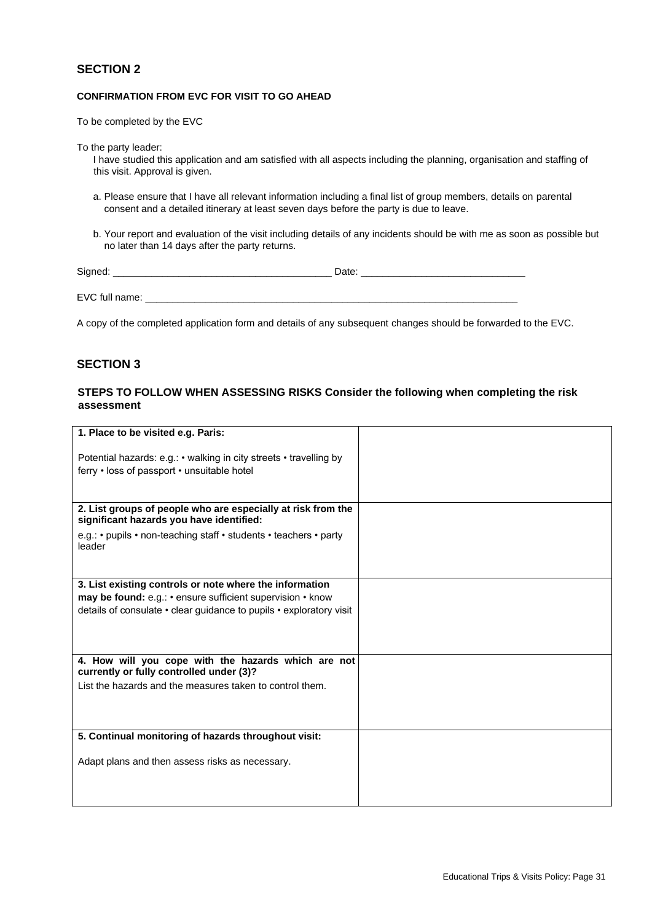#### **CONFIRMATION FROM EVC FOR VISIT TO GO AHEAD**

To be completed by the EVC

To the party leader:

I have studied this application and am satisfied with all aspects including the planning, organisation and staffing of this visit. Approval is given.

- a. Please ensure that I have all relevant information including a final list of group members, details on parental consent and a detailed itinerary at least seven days before the party is due to leave.
- b. Your report and evaluation of the visit including details of any incidents should be with me as soon as possible but no later than 14 days after the party returns.

| Signed:        | Date: |
|----------------|-------|
|                |       |
| EVC full name: |       |

A copy of the completed application form and details of any subsequent changes should be forwarded to the EVC.

#### **SECTION 3**

#### **STEPS TO FOLLOW WHEN ASSESSING RISKS Consider the following when completing the risk assessment**

| 1. Place to be visited e.g. Paris:                                                                                |  |
|-------------------------------------------------------------------------------------------------------------------|--|
| Potential hazards: e.g.: • walking in city streets • travelling by<br>ferry • loss of passport • unsuitable hotel |  |
| 2. List groups of people who are especially at risk from the<br>significant hazards you have identified:          |  |
| e.g.: • pupils • non-teaching staff • students • teachers • party<br>leader                                       |  |
| 3. List existing controls or note where the information                                                           |  |
| may be found: e.g.: • ensure sufficient supervision • know                                                        |  |
| details of consulate • clear guidance to pupils • exploratory visit                                               |  |
| 4. How will you cope with the hazards which are not<br>currently or fully controlled under (3)?                   |  |
| List the hazards and the measures taken to control them.                                                          |  |
|                                                                                                                   |  |
| 5. Continual monitoring of hazards throughout visit:                                                              |  |
| Adapt plans and then assess risks as necessary.                                                                   |  |
|                                                                                                                   |  |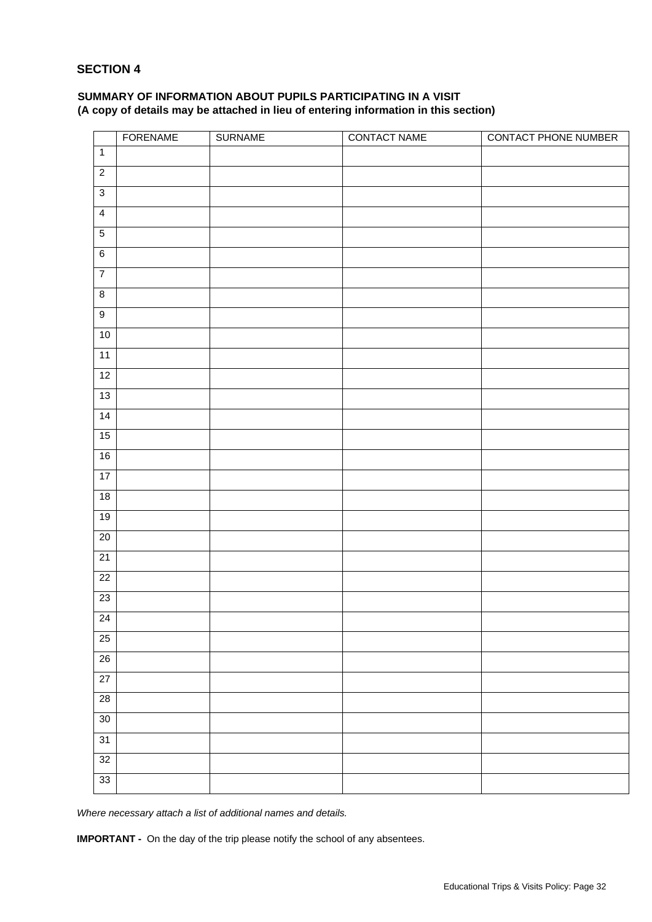#### **SUMMARY OF INFORMATION ABOUT PUPILS PARTICIPATING IN A VISIT (A copy of details may be attached in lieu of entering information in this section)**

|                 | <b>FORENAME</b> | <b>SURNAME</b> | <b>CONTACT NAME</b> | <b>CONTACT PHONE NUMBER</b> |
|-----------------|-----------------|----------------|---------------------|-----------------------------|
| $\mathbf{1}$    |                 |                |                     |                             |
| $\overline{2}$  |                 |                |                     |                             |
| $\overline{3}$  |                 |                |                     |                             |
| $\overline{4}$  |                 |                |                     |                             |
| $\overline{5}$  |                 |                |                     |                             |
| $\overline{6}$  |                 |                |                     |                             |
| $\overline{7}$  |                 |                |                     |                             |
| $\bf 8$         |                 |                |                     |                             |
| $\overline{9}$  |                 |                |                     |                             |
| $10$            |                 |                |                     |                             |
| $\overline{11}$ |                 |                |                     |                             |
| $\overline{12}$ |                 |                |                     |                             |
| 13              |                 |                |                     |                             |
| $\overline{14}$ |                 |                |                     |                             |
| 15              |                 |                |                     |                             |
| 16              |                 |                |                     |                             |
| 17              |                 |                |                     |                             |
| $\overline{18}$ |                 |                |                     |                             |
| 19              |                 |                |                     |                             |
| $\overline{20}$ |                 |                |                     |                             |
| $\overline{21}$ |                 |                |                     |                             |
| 22              |                 |                |                     |                             |
| $\overline{23}$ |                 |                |                     |                             |
| 24              |                 |                |                     |                             |
| 25              |                 |                |                     |                             |
| $\overline{26}$ |                 |                |                     |                             |
| $\overline{27}$ |                 |                |                     |                             |
| $\overline{28}$ |                 |                |                     |                             |
| 30              |                 |                |                     |                             |
| 31              |                 |                |                     |                             |
| $32\,$          |                 |                |                     |                             |
| 33              |                 |                |                     |                             |

*Where necessary attach a list of additional names and details.* 

**IMPORTANT -** On the day of the trip please notify the school of any absentees.